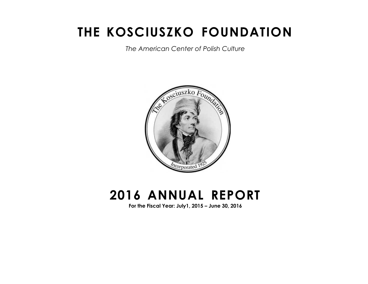# **THE KOSCIUSZKO FOUNDATION**

*The American Center of Polish Culture*



# **2016 ANNUAL REPORT**

**For the Fiscal Year: July1, 2015 – June 30, 2016**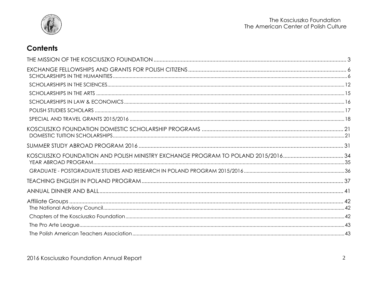

# **Contents**

| KOSCIUSZKO FOUNDATION AND POLISH MINISTRY EXCHANGE PROGRAM TO POLAND 2015/2016 |  |
|--------------------------------------------------------------------------------|--|
|                                                                                |  |
|                                                                                |  |
|                                                                                |  |
|                                                                                |  |
|                                                                                |  |
|                                                                                |  |
|                                                                                |  |
|                                                                                |  |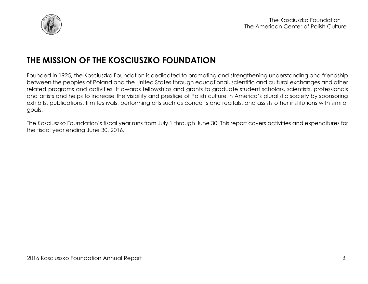

# <span id="page-2-0"></span>**THE MISSION OF THE KOSCIUSZKO FOUNDATION**

Founded in 1925, the Kosciuszko Foundation is dedicated to promoting and strengthening understanding and friendship between the peoples of Poland and the United States through educational, scientific and cultural exchanges and other related programs and activities. It awards fellowships and grants to graduate student scholars, scientists, professionals and artists and helps to increase the visibility and prestige of Polish culture in America's pluralistic society by sponsoring exhibits, publications, film festivals, performing arts such as concerts and recitals, and assists other institutions with similar goals.

The Kosciuszko Foundation's fiscal year runs from July 1 through June 30. This report covers activities and expenditures for the fiscal year ending June 30, 2016.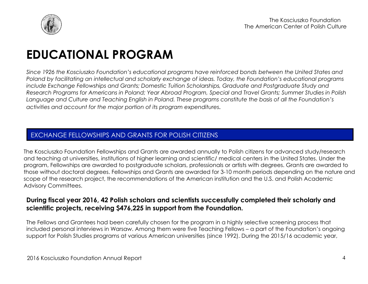

# **EDUCATIONAL PROGRAM**

*Since 1926 the Kosciuszko Foundation's educational programs have reinforced bonds between the United States and Poland by facilitating an intellectual and scholarly exchange of ideas. Today, the Foundation's educational programs include Exchange Fellowships and Grants; Domestic Tuition Scholarships, Graduate and Postgraduate Study and Research Programs for Americans in Poland; Year Abroad Program, Special and Travel Grants; Summer Studies in Polish Language and Culture and Teaching English in Poland. These programs constitute the basis of all the Foundation's activities and account for the major portion of its program expenditures.*

## EXCHANGE FELLOWSHIPS AND GRANTS FOR POLISH CITIZENS

The Kosciuszko Foundation Fellowships and Grants are awarded annually to Polish citizens for advanced study/research and teaching at universities, institutions of higher learning and scientific/ medical centers in the United States. Under the program, Fellowships are awarded to postgraduate scholars, professionals or artists with degrees. Grants are awarded to those without doctoral degrees. Fellowships and Grants are awarded for 3-10 month periods depending on the nature and scope of the research project, the recommendations of the American institution and the U.S. and Polish Academic Advisory Committees.

### **During fiscal year 2016, 42 Polish scholars and scientists successfully completed their scholarly and scientific projects, receiving \$476,225 in support from the Foundation.**

The Fellows and Grantees had been carefully chosen for the program in a highly selective screening process that included personal interviews in Warsaw. Among them were five Teaching Fellows – a part of the Foundation's ongoing support for Polish Studies programs at various American universities (since 1992). During the 2015/16 academic year,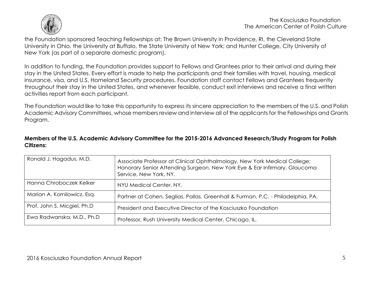

the Foundation sponsored Teaching Fellowships at: The Brown University in Providence, RI, the Cleveland State University in Ohio, the University at Buffalo, the State University of New York; and Hunter College, City University of New York (as part of a separate domestic program).

In addition to funding, the Foundation provides support to Fellows and Grantees prior to their arrival and during their stay in the United States. Every effort is made to help the participants and their families with travel, housing, medical insurance, visa, and U.S. Homeland Security procedures. Foundation staff contact Fellows and Grantees frequently throughout their stay in the United States, and whenever feasible, conduct exit interviews and receive a final written activities report from each participant.

The Foundation would like to take this opportunity to express its sincere appreciation to the members of the U.S. and Polish Academic Advisory Committees, whose members review and interview all of the applicants for the Fellowships and Grants Program.

#### **Members of the U.S. Academic Advisory Committee for the 2015-2016 Advanced Research/Study Program for Polish Citizens:**

| Ronald J. Hagadus, M.D.     | Associate Professor at Clinical Ophthalmology, New York Medical College;<br>Honorary Senior Attending Surgeon, New York Eye & Ear Infirmary, Glaucoma<br>Service, New York, NY. |
|-----------------------------|---------------------------------------------------------------------------------------------------------------------------------------------------------------------------------|
| Hanna Chroboczek Kelker     | NYU Medical Center, NY,                                                                                                                                                         |
| Marian A. Kornilowicz, Esq. | Partner at Cohen, Seglias, Pallas, Greenhall & Furman, P.C. - Philadelphia, PA.                                                                                                 |
| Prof. John S. Micgiel, Ph.D | President and Executive Director of the Kosciuszko Foundation                                                                                                                   |
| Ewa Radwanska, M.D., Ph.D   | Professor, Rush University Medical Center, Chicago, IL.                                                                                                                         |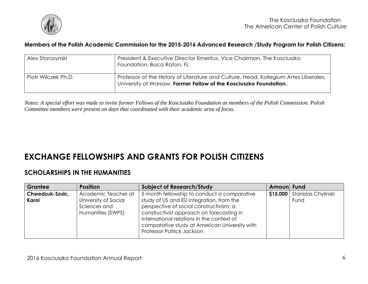

#### **Members of the Polish Academic Commission for the 2015-2016 Advanced Research /Study Program for Polish Citizens:**

| Alex Storozynski    | President & Executive Director Emeritus, Vice Chairman, The Kosciuszko<br>Foundation, Boca Raton, FL                                                     |
|---------------------|----------------------------------------------------------------------------------------------------------------------------------------------------------|
| Piotr Wilczek Ph.D. | Professor of the History of Literature and Culture, Head, Kollegium Artes Liberales,<br>University of Warsaw. Former Fellow of the Kosciuszko Foundation |

*Notes: A special effort was made to invite former Fellows of the Kosciuszko Foundation as members of the Polish Commission. Polish Committee members were present on days that coordinated with their academic area of focus.*

# <span id="page-5-0"></span>**EXCHANGE FELLOWSHIPS AND GRANTS FOR POLISH CITIZENS**

### <span id="page-5-1"></span>**SCHOLARSHIPS IN THE HUMANITIES**

| Grantee                  | <b>Position</b>                                                                  | <b>Subject of Research/Study</b>                                                                                                                                                                                                                                                                            | Amoun Fund |                             |
|--------------------------|----------------------------------------------------------------------------------|-------------------------------------------------------------------------------------------------------------------------------------------------------------------------------------------------------------------------------------------------------------------------------------------------------------|------------|-----------------------------|
| Chwedzuk-Szulc,<br>Karol | Academic Teacher at<br>University of Social<br>Sciences and<br>Humanities (SWPS) | 5 month fellowship to conduct a comparative<br>study of US and EU integration, from the<br>perspective of social constructivism; a<br>constructivist approach on forecasting in<br>international relations in the context of<br>comparative study at American University with<br>Professor Patrick Jackson. | \$15,000   | Stanislas Chylinski<br>Fund |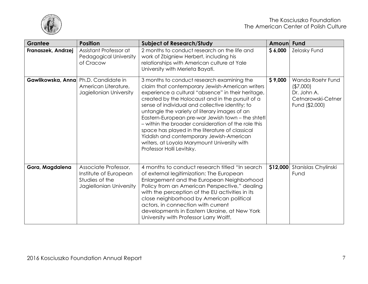

| <b>Grantee</b>     | <b>Position</b>                                                                            | <b>Subject of Research/Study</b>                                                                                                                                                                                                                                                                                                                                                                                                                                                                                                                                                                    | <b>Amoun</b> | <b>Fund</b>                                                                           |
|--------------------|--------------------------------------------------------------------------------------------|-----------------------------------------------------------------------------------------------------------------------------------------------------------------------------------------------------------------------------------------------------------------------------------------------------------------------------------------------------------------------------------------------------------------------------------------------------------------------------------------------------------------------------------------------------------------------------------------------------|--------------|---------------------------------------------------------------------------------------|
| Franaszek, Andrzej | Assistant Professor at<br>Pedagogical University<br>of Cracow                              | 2 months to conduct research on the life and<br>work of Zbigniew Herbert, including his<br>relationships with American culture at Yale<br>University with Merieta Bayati.                                                                                                                                                                                                                                                                                                                                                                                                                           | \$6,000      | Zelosky Fund                                                                          |
|                    | Gawlikowska, Anna Ph.D. Candidate in<br>American Literature,<br>Jagiellonian University    | 3 months to conduct research examining the<br>claim that contemporary Jewish-American writers<br>experience a cultural "absence" in their heritage,<br>created by the Holocaust and in the pursuit of a<br>sense of individual and collective identity; to<br>untangle the variety of literary images of an<br>Eastern-European pre-war Jewish town - the shtetl<br>- within the broader consideration of the role this<br>space has played in the literature of classical<br>Yiddish and contemporary Jewish-American<br>writers, at Loyola Marymount University with<br>Professor Holli Levitsky. | \$9,000      | Wanda Roehr Fund<br>( \$7,000]<br>Dr. John A.<br>Cetnarowski-Cetner<br>Fund (\$2,000) |
| Gora, Magdalena    | Associate Professor,<br>Institute of European<br>Studies of the<br>Jagiellonian University | 4 months to conduct research titled "In search"<br>of external legitimization: The European<br>Enlargement and the European Neighborhood<br>Policy from an American Perspective," dealing<br>with the perception of the EU activities in its<br>close neighborhood by American political<br>actors, in connection with current<br>developments in Eastern Ukraine, at New York<br>University with Professor Larry Wolff.                                                                                                                                                                            | \$12,000     | Stanislas Chylinski<br>Fund                                                           |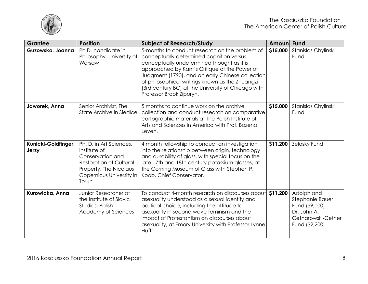

| <b>Grantee</b>               | <b>Position</b>                                                                                                                                              | <b>Subject of Research/Study</b>                                                                                                                                                                                                                                                                                                                                                   | <b>Amoun</b> | <b>Fund</b>                                                                                            |
|------------------------------|--------------------------------------------------------------------------------------------------------------------------------------------------------------|------------------------------------------------------------------------------------------------------------------------------------------------------------------------------------------------------------------------------------------------------------------------------------------------------------------------------------------------------------------------------------|--------------|--------------------------------------------------------------------------------------------------------|
| Guzowska, Joanna             | Ph.D. candidate in<br>Philosophy, University of<br>Warsaw                                                                                                    | 5-months to conduct research on the problem of<br>conceptually determined cognition versus<br>conceptually undetermined thought as it is<br>approached by Kant's Critique of the Power of<br>Judgment (1790), and an early Chinese collection<br>of philosophical writings known as the Zhuangzi<br>(3rd century BC) at the University of Chicago with<br>Professor Brook Ziporyn. | \$15,000     | Stanislas Chylinski<br>Fund                                                                            |
| Jaworek, Anna                | Senior Archivist, The<br>State Archive in Siedlce                                                                                                            | 5 months to continue work on the archive<br>collection and conduct research on comparative<br>cartographic materials at The Polish Institute of<br>Arts and Sciences in America with Prof. Bozena<br>Leven.                                                                                                                                                                        | \$15,000     | Stanislas Chylinski<br>Fund                                                                            |
| Kunicki-Goldfinger,<br>Jerzy | Ph. D. in Art Sciences,<br>Institute of<br>Conservation and<br><b>Restoration of Cultural</b><br>Property, The Nicolaus<br>Copernicus University in<br>Torun | 4 month fellowship to conduct an investigation<br>into the relationship between origin, technology<br>and durability of glass, with special focus on the<br>late 17th and 18th century potassium glasses, at<br>the Corning Museum of Glass with Stephen P.<br>Koob, Chief Conservator.                                                                                            | \$11,200     | Zelosky Fund                                                                                           |
| Kurowicka, Anna              | Junior Researcher at<br>the Institute of Slavic<br>Studies, Polish<br>Academy of Sciences                                                                    | To conduct 4-month research on discourses about<br>asexuality understood as a sexual identity and<br>political choice, including the attitude to<br>asexuality in second wave feminism and the<br>impact of Protestantism on discourses about<br>asexuality, at Emory University with Professor Lynne<br>Huffer.                                                                   | \$11,200     | Adolph and<br>Stephanie Bauer<br>Fund (\$9,000)<br>Dr. John A.<br>Cetnarowski-Cetner<br>Fund (\$2,200) |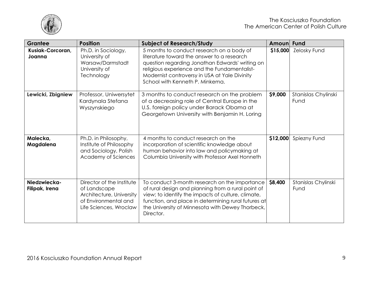

| <b>Grantee</b>                 | <b>Position</b>                                                                                                         | <b>Subject of Research/Study</b>                                                                                                                                                                                                                                                  | Amoun    | <b>Fund</b>                 |
|--------------------------------|-------------------------------------------------------------------------------------------------------------------------|-----------------------------------------------------------------------------------------------------------------------------------------------------------------------------------------------------------------------------------------------------------------------------------|----------|-----------------------------|
| Kusiak-Corcoran,<br>Joanna     | Ph.D. in Sociology,<br>University of<br>Warsaw/Darmstadt<br>University of<br>Technology                                 | 5 months to conduct research on a body of<br>literature toward the answer to a research<br>question regarding Jonathan Edwards' writing on<br>religious experience and the Fundamentalist-<br>Modernist controversy in USA at Yale Divinity<br>School with Kenneth P. Minkema.    | \$15,000 | Zelosky Fund                |
| Lewicki, Zbigniew              | Professor, Uniwersytet<br>Kardynala Stefana<br>Wyszynskiego                                                             | 3 months to conduct research on the problem<br>of a decreasing role of Central Europe in the<br>U.S. foreign policy under Barack Obama at<br>Georgetown University with Benjamin H. Loring                                                                                        | \$9,000  | Stanislas Chylinski<br>Fund |
| Malecka,<br>Magdalena          | Ph.D. in Philosophy,<br>Institute of Philosophy<br>and Sociology, Polish<br>Academy of Sciences                         | 4 months to conduct research on the<br>incorporation of scientific knowledge about<br>human behavior into law and policymaking at<br>Columbia University with Professor Axel Honneth                                                                                              | \$12,000 | Spiezny Fund                |
| Niedzwiecka-<br>Filipak, Irena | Director of the Institute<br>of Landscape<br>Architecture, University<br>of Environmental and<br>Life Sciences, Wroclaw | To conduct 3-month research on the importance<br>of rural design and planning from a rural point of<br>view; to identify the impacts of culture, climate,<br>function, and place in determining rural futures at<br>the University of Minnesota with Dewey Thorbeck,<br>Director. | \$8,400  | Stanislas Chylinski<br>Fund |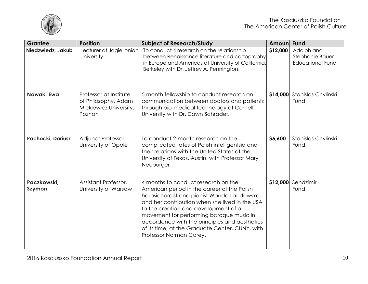

| <b>Grantee</b>               | <b>Position</b>                                                                   | <b>Subject of Research/Study</b>                                                                                                                                                                                                                                                                                                                                                                       | <b>Amoun</b> | <b>Fund</b>                                              |
|------------------------------|-----------------------------------------------------------------------------------|--------------------------------------------------------------------------------------------------------------------------------------------------------------------------------------------------------------------------------------------------------------------------------------------------------------------------------------------------------------------------------------------------------|--------------|----------------------------------------------------------|
| Niedzwiedz, Jakub            | Lecturer at Jagiellonian<br>University                                            | To conduct 4 research on the relationship<br>between Renaissance literature and cartography<br>in Europe and Americas at University of California,<br>Berkeley with Dr. Jeffrey A. Pennington.                                                                                                                                                                                                         | \$12,000     | Adolph and<br>Stephanie Bauer<br><b>Educational Fund</b> |
| Nowak, Ewa                   | Professor at Institute<br>of Philosophy, Adam<br>Mickiewicz University,<br>Poznan | 5 month fellowship to conduct research on<br>communication between doctors and patients<br>through bio-medical technology at Cornell<br>University with Dr. Dawn Schrader.                                                                                                                                                                                                                             |              | \$14,000 Stanislas Chylinski<br>Fund                     |
| Pachocki, Dariusz            | Adjunct Professor,<br>University of Opole                                         | To conduct 2-month research on the<br>complicated fates of Polish intelligentsia and<br>their relations with the United States at the<br>University of Texas, Austin, with Professor Mary<br>Neuburger                                                                                                                                                                                                 | \$5,600      | Stanislas Chylinski<br>Fund                              |
| Paczkowski,<br><b>Szymon</b> | Assistant Professor,<br>University of Warsaw                                      | 4 months to conduct research on the<br>American period in the career of the Polish<br>harpsichordist and pianist Wanda Landowska,<br>and her contribution when she lived in the USA<br>to the creation and development of a<br>movement for performing baroque music in<br>accordance with the principles and aesthetics<br>of its time; at the Graduate Center, CUNY, with<br>Professor Norman Carey. | \$12,000     | Sendzimir<br>Fund                                        |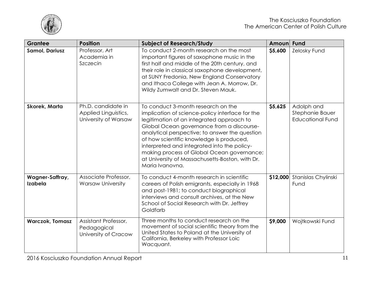

| Grantee                    | <b>Position</b>                                                    | <b>Subject of Research/Study</b>                                                                                                                                                                                                                                                                                                                                                                                                                 | Amoun    | Fund                                                     |
|----------------------------|--------------------------------------------------------------------|--------------------------------------------------------------------------------------------------------------------------------------------------------------------------------------------------------------------------------------------------------------------------------------------------------------------------------------------------------------------------------------------------------------------------------------------------|----------|----------------------------------------------------------|
| <b>Samol, Dariusz</b>      | Professor, Art<br>Academia in<br>Szczecin                          | To conduct 2-month research on the most<br>important figures of saxophone music in the<br>first half and middle of the 20th century, and<br>their role in classical saxophone development,<br>at SUNY Fredonia, New England Conservatory<br>and Ithaca College with Jean A. Morrow, Dr.<br>Wildy Zumwalt and Dr. Steven Mauk.                                                                                                                    | \$5,600  | Zelosky Fund                                             |
| <b>Skorek, Marta</b>       | Ph.D. candidate in<br>Applied Linguistics,<br>University of Warsaw | To conduct 3-month research on the<br>implication of science-policy interface for the<br>legitimation of an integrated approach to<br>Global Ocean governance from a discourse-<br>analytical perspective; to answer the question<br>of how scientific knowledge is produced,<br>interpreted and integrated into the policy-<br>making process of Global Ocean governance;<br>at University of Massachusetts-Boston, with Dr.<br>Maria Ivanovna. | \$5,625  | Adolph and<br>Stephanie Bauer<br><b>Educational Fund</b> |
| Wagner-Saffray,<br>Izabela | Associate Professor,<br><b>Warsaw University</b>                   | To conduct 4-month research in scientific<br>careers of Polish emigrants, especially in 1968<br>and post-1981; to conduct biographical<br>interviews and consult archives, at the New<br>School of Social Research with Dr. Jeffrey<br>Goldfarb                                                                                                                                                                                                  | \$12,000 | Stanislas Chylinski<br>Fund                              |
| <b>Warczok, Tomasz</b>     | Assistant Professor,<br>Pedagogical<br>University of Cracow        | Three months to conduct research on the<br>movement of social scientific theory from the<br>United States to Poland at the University of<br>California, Berkeley with Professor Loic<br>Wacquant.                                                                                                                                                                                                                                                | \$9,000  | Wojtkowski Fund                                          |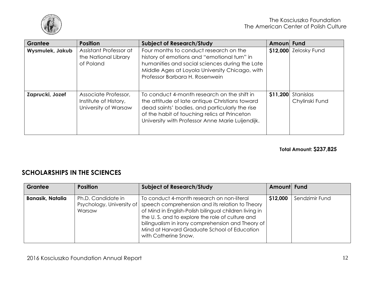

| Grantee         | <b>Position</b>                                                       | <b>Subject of Research/Study</b>                                                                                                                                                                                                                    | Amoun Fund |                             |
|-----------------|-----------------------------------------------------------------------|-----------------------------------------------------------------------------------------------------------------------------------------------------------------------------------------------------------------------------------------------------|------------|-----------------------------|
| Wysmulek, Jakub | Assistant Professor at<br>the National Library<br>of Poland           | Four months to conduct research on the<br>history of emotions and "emotional turn" in<br>humanities and social sciences during the Late<br>Middle Ages at Loyola University Chicago, with<br>Professor Barbara H. Rosenwein                         |            | \$12,000 Zelosky Fund       |
| Zaprucki, Jozef | Associate Professor,<br>Institute of History,<br>University of Warsaw | To conduct 4-month research on the shift in<br>the attitude of late antique Christians toward<br>dead saints' bodies, and particularly the rise<br>of the habit of touching relics at Princeton<br>University with Professor Anne Marie Luijendijk. | \$11,200   | Stanislas<br>Chylinski Fund |

**Total Amount: \$237,825**

### <span id="page-11-0"></span>**SCHOLARSHIPS IN THE SCIENCES**

| Grantee                 | <b>Position</b>              | <b>Subject of Research/Study</b>                                                                                                                                                                                                                                                                                                                                  | Amount Fund |                |
|-------------------------|------------------------------|-------------------------------------------------------------------------------------------------------------------------------------------------------------------------------------------------------------------------------------------------------------------------------------------------------------------------------------------------------------------|-------------|----------------|
| <b>Banasik, Natalia</b> | Ph.D. Candidate in<br>Warsaw | To conduct 4-month research on non-literal<br>Psychology, University of speech comprehension and its relation to Theory<br>of Mind in English-Polish bilingual children living in<br>the U.S. and to explore the role of culture and<br>bilingualism in irony comprehension and Theory of<br>Mind at Harvard Graduate School of Education<br>with Catherine Snow. | \$12,000    | Sendzimir Fund |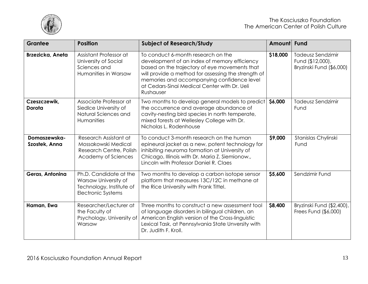

| <b>Grantee</b>                | <b>Position</b>                                                                                         | <b>Subject of Research/Study</b>                                                                                                                                                                                                                                                                      | Amount   | <b>Fund</b>                                                              |
|-------------------------------|---------------------------------------------------------------------------------------------------------|-------------------------------------------------------------------------------------------------------------------------------------------------------------------------------------------------------------------------------------------------------------------------------------------------------|----------|--------------------------------------------------------------------------|
| Brzezicka, Aneta              | Assistant Professor at<br>University of Social<br>Sciences and<br>Humanities in Warsaw                  | To conduct 6-month research on the<br>development of an index of memory efficiency<br>based on the trajectory of eye movements that<br>will provide a method for assessing the strength of<br>memories and accompanying confidence level<br>at Cedars-Sinai Medical Center with Dr. Ueli<br>Rushauser | \$18,000 | <b>Tadeusz Sendzimir</b><br>Fund (\$12,000),<br>Bryzinski Fund (\$6,000) |
| Czeszczewik,<br>Dorota        | Associate Professor at<br>Siedlce University of<br>Natural Sciences and<br>Humanities                   | Two months to develop general models to predict<br>the occurrence and average abundance of<br>cavity-nesting bird species in north temperate,<br>mixed forests at Wellesley College with Dr.<br>Nicholas L. Rodenhouse                                                                                | \$6,000  | Tadeusz Sendzimir<br>Fund                                                |
| Domaszewska-<br>Szostek, Anna | Research Assistant at<br>Mossakowski Medical<br>Research Centre, Polish<br>Academy of Sciences          | To conduct 3-month research on the human<br>epineural jacket as a new, potent technology for<br>inhibiting neuroma formation at University of<br>Chicago, Illinois with Dr. Maria Z. Siemionow.,<br>Lincoln with Professor Daniel R. Claes                                                            | \$9,000  | Stanislas Chylinski<br>Fund                                              |
| Geras, Antonina               | Ph.D. Candidate at the<br>Warsaw University of<br>Technology, Institute of<br><b>Electronic Systems</b> | Two months to develop a carbon isotope sensor<br>platform that measures 13C/12C in methane at<br>the Rice University with Frank Tittel.                                                                                                                                                               | \$5,600  | Sendzimir Fund                                                           |
| Haman, Ewa                    | Researcher/Lecturer at<br>the Faculty of<br>Psychology, University of<br>Warsaw                         | Three months to construct a new assessment tool<br>of language disorders in bilingual children, an<br>American English version of the Cross-linguistic<br>Lexical Task, at Pennsylvania State Unversity with<br>Dr. Judith F. Kroll.                                                                  | \$8,400  | Bryzinski Fund (\$2,400),<br>Frees Fund (\$6,000)                        |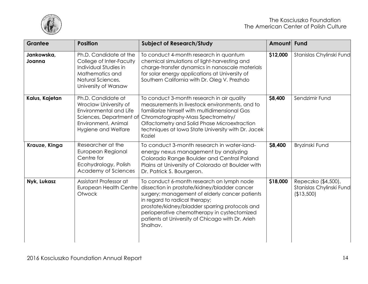

| <b>Grantee</b>       | <b>Position</b>                                                                                                                                | <b>Subject of Research/Study</b>                                                                                                                                                                                                                                                                                                              | Amount Fund |                                                               |
|----------------------|------------------------------------------------------------------------------------------------------------------------------------------------|-----------------------------------------------------------------------------------------------------------------------------------------------------------------------------------------------------------------------------------------------------------------------------------------------------------------------------------------------|-------------|---------------------------------------------------------------|
| Jankowska,<br>Joanna | Ph.D. Candidate at the<br>College of Inter-Faculty<br>Individual Studies in<br>Mathematics and<br>Natural Sciences,<br>University of Warsaw    | To conduct 4-month research in quantum<br>chemical simulations of light-harvesting and<br>charge-transfer dynamics in nanoscale materials<br>for solar energy applications at University of<br>Southern California with Dr. Oleg V. Prezhdo                                                                                                   | \$12,000    | Stanislas Chylinski Fund                                      |
| Kalus, Kajetan       | Ph.D. Candidate at<br>Wroclaw University of<br>Environmental and Life<br>Sciences, Department of<br>Environment, Animal<br>Hygiene and Welfare | To conduct 3-month research in air quality<br>measurements in livestock environments, and to<br>familiarize himself with multidimensional Gas<br>Chromatography-Mass Spectrometry/<br>Olfactometry and Solid Phase Microextraction<br>techniques at Iowa State University with Dr. Jacek<br>Koziel                                            | \$8,400     | Sendzimir Fund                                                |
| Krauze, Kinga        | Researcher at the<br>European Regional<br>Centre for<br>Ecohydrology, Polish<br>Academy of Sciences                                            | To conduct 3-month research in water-land-<br>energy nexus management by analyzing<br>Colorado Range Boulder and Central Poland<br>Plains at University of Colorado at Boulder with<br>Dr. Patrick S. Bourgeron.                                                                                                                              | \$8,400     | Bryzinski Fund                                                |
| Nyk, Lukasz          | Assistant Professor at<br><b>European Health Centre</b><br>Otwock                                                                              | To conduct 6-month research on lymph node<br>dissection in prostate/kidney/bladder cancer<br>surgery; management of elderly cancer patients<br>in regard to radical therapy;<br>prostate/kidney/bladder sparring protocols and<br>perioperative chemotherapy in cystectomized<br>patients at University of Chicago with Dr. Arieh<br>Shalhav. | \$18,000    | Repeczko (\$4,500),<br>Stanislas Chylinski Fund<br>(\$13,500) |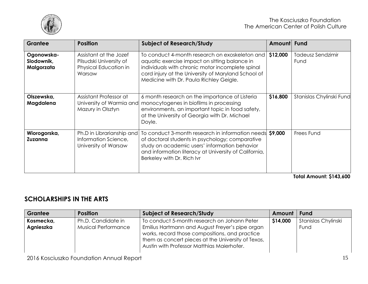

| Grantee                                | <b>Position</b>                                                                      | <b>Subject of Research/Study</b>                                                                                                                                                                                                                      | <b>Amount</b> | <b>Fund</b>                                                                                                                                                                                                                                                                                                                                                                                                   |
|----------------------------------------|--------------------------------------------------------------------------------------|-------------------------------------------------------------------------------------------------------------------------------------------------------------------------------------------------------------------------------------------------------|---------------|---------------------------------------------------------------------------------------------------------------------------------------------------------------------------------------------------------------------------------------------------------------------------------------------------------------------------------------------------------------------------------------------------------------|
| Ogonowska-<br>Slodownik,<br>Malgorzata | Assistant at the Jozef<br>Pilsudski University of<br>Physical Education in<br>Warsaw | To conduct 4-month research on exoskeleton and<br>aquatic exercise impact on sitting balance in<br>individuals with chronic motor incomplete spinal<br>cord injury at the University of Maryland School of<br>Medicine with Dr. Paula Richley Geigle. | \$12,000      | <b>Tadeusz Sendzimir</b><br>Fund                                                                                                                                                                                                                                                                                                                                                                              |
| Olszewska,<br>Magdalena                | Assistant Professor at<br>University of Warmia and<br>Mazury in Olsztyn              | 6 month research on the importance of Listeria<br>monocytogenes in biofilms in processing<br>environments, an important topic in food safety,<br>at the University of Georgia with Dr. Michael<br>Doyle.                                              | \$16,800      | Stanislas Chylinski Fund                                                                                                                                                                                                                                                                                                                                                                                      |
| Wiorogorska,<br>Zuzanna                | Ph.D in Librarianship and<br>Information Science,<br>University of Warsaw            | To conduct 3-month research in information needs \$9,000<br>of doctoral students in psychology; comparative<br>study on academic users' information behavior<br>and information literacy at University of California,<br>Berkeley with Dr. Rich Ivr   |               | Frees Fund<br>- - - -<br>$\overline{1}$ $\overline{2}$ $\overline{3}$ $\overline{4}$ $\overline{2}$ $\overline{2}$ $\overline{3}$ $\overline{4}$ $\overline{2}$ $\overline{3}$ $\overline{4}$ $\overline{2}$ $\overline{3}$ $\overline{4}$ $\overline{2}$ $\overline{3}$ $\overline{4}$ $\overline{2}$ $\overline{3}$ $\overline{4}$ $\overline{2}$ $\overline{3}$ $\overline{4}$ $\overline{2}$ $\overline{$ |

**Total Amount: \$143,600**

## <span id="page-14-0"></span>**SCHOLARSHIPS IN THE ARTS**

| Grantee                | <b>Position</b>                                  | <b>Subject of Research/Study</b>                                                                                                                                                                                                                     | Amount   | Fund                        |
|------------------------|--------------------------------------------------|------------------------------------------------------------------------------------------------------------------------------------------------------------------------------------------------------------------------------------------------------|----------|-----------------------------|
| Kosmecka,<br>Agnieszka | Ph.D. Candidate in<br><b>Musical Performance</b> | To conduct 5-month research on Johann Peter<br>Emilius Hartmann and August Freyer's pipe organ<br>works, record those compositions, and practice<br>them as concert pieces at the University of Texas,<br>Austin with Professor Matthias Maierhofer. | \$14,000 | Stanislas Chylinski<br>Fund |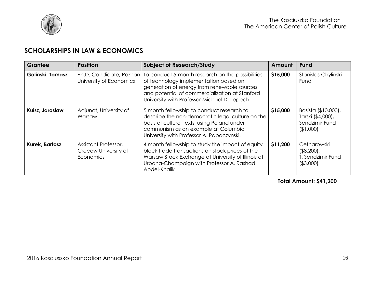

## <span id="page-15-0"></span>**SCHOLARSHIPS IN LAW & ECONOMICS**

| Grantee          | <b>Position</b>                                           | <b>Subject of Research/Study</b>                                                                                                                                                                                                           | Amount   | <b>Fund</b>                                                           |
|------------------|-----------------------------------------------------------|--------------------------------------------------------------------------------------------------------------------------------------------------------------------------------------------------------------------------------------------|----------|-----------------------------------------------------------------------|
| Golinski, Tomasz | Ph.D. Candidate, Poznan<br>University of Economics        | To conduct 5-month research on the possibilities<br>of technology implementation based on<br>generation of energy from renewable sources<br>and potential of commercialization at Stanford<br>University with Professor Michael D. Lepech. | \$15,000 | Stanislas Chylinski<br>Fund                                           |
| Kuisz, Jaroslaw  | Adjunct, University of<br>Warsaw                          | 5 month fellowship to conduct research to<br>describe the non-democratic legal culture on the<br>basis of cultural texts, using Poland under<br>communism as an example at Columbia<br>University with Professor A. Rapaczynski.           | \$15,000 | Basista (\$10,000),<br>Tarski (\$4,000),<br>Sendzimir Fund<br>(1,000) |
| Kurek, Bartosz   | Assistant Professor,<br>Cracow University of<br>Economics | 4 month fellowship to study the impact of equity<br>block trade transactions on stock prices of the<br>Warsaw Stock Exchange at University of Illinois at<br>Urbana-Champaign with Professor A. Rashad<br>Abdel-Khalik                     | \$11,200 | Cetnarowski<br>$($ \$8,200),<br>T. Sendzimir Fund<br>( \$3,000)       |

<span id="page-15-1"></span>**Total Amount: \$41,200**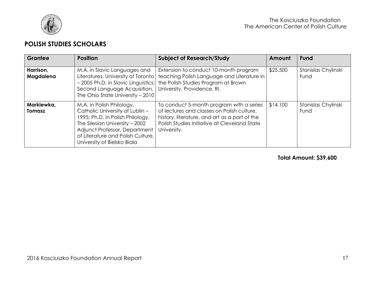

### **POLISH STUDIES SCHOLARS**

| Grantee                     | <b>Position</b>                                                                                                                                                                                                                         | <b>Subject of Research/Study</b>                                                                                                                                                                       | Amount   | <b>Fund</b>                 |
|-----------------------------|-----------------------------------------------------------------------------------------------------------------------------------------------------------------------------------------------------------------------------------------|--------------------------------------------------------------------------------------------------------------------------------------------------------------------------------------------------------|----------|-----------------------------|
| Harrison,<br>Magdalena      | M.A. in Slavic Languages and<br>Literatures, University of Toronto<br>- 2005 Ph.D. in Slavic Linguistics;<br>Second Language Acquisition,<br>The Ohio State University - 2010                                                           | Extension to conduct 10-month program<br>teaching Polish Language and Literature in<br>the Polish Studies Program at Brown<br>University, Providence, RI.                                              | \$25,500 | Stanislas Chylinski<br>Fund |
| Markiewka,<br><b>Tomasz</b> | M.A. in Polish Philology,<br>Catholic University of Lublin -<br>1995; Ph.D. in Polish Philology,<br>The Silesian University - 2002<br>Adjunct Professor, Department<br>of Literature and Polish Culture,<br>University of Bielsko Biala | To conduct 5-month program with a series<br>of lectures and classes on Polish culture,<br>history, literature, and art as a part of the<br>Polish Studies Initiative at Cleveland State<br>University. | \$14,100 | Stanislas Chylinski<br>Fund |

### **Total Amount: \$39,600**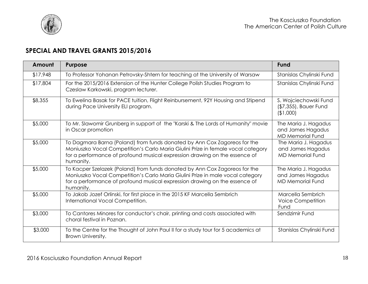

## <span id="page-17-0"></span>**SPECIAL AND TRAVEL GRANTS 2015/2016**

| Amount   | <b>Purpose</b>                                                                                                                                                                                                                                          | <b>Fund</b>                                                          |
|----------|---------------------------------------------------------------------------------------------------------------------------------------------------------------------------------------------------------------------------------------------------------|----------------------------------------------------------------------|
| \$17,948 | To Professor Yohanan Petrovsky-Shtern for teaching at the University of Warsaw                                                                                                                                                                          | Stanislas Chylinski Fund                                             |
| \$17,804 | For the 2015/2016 Extension of the Hunter College Polish Studies Program to<br>Czeslaw Karkowski, program lecturer.                                                                                                                                     | Stanislas Chylinski Fund                                             |
| \$8,355  | To Ewelina Basak for PACE tuition, Flight Reinbursement, 92Y Housing and Stipend<br>during Pace University ELI program.                                                                                                                                 | S. Wojciechowski Fund<br>(\$7,355), Bauer Fund<br>(\$1,000)          |
| \$5,000  | To Mr. Slawomir Grunberg in support of the "Karski & The Lords of Humanity" movie<br>in Oscar promotion                                                                                                                                                 | The Maria J. Hagadus<br>and James Hagadus<br><b>MD Memorial Fund</b> |
| \$5,000  | To Dagmara Barna (Poland) from funds donated by Ann Cox Zagoreos for the<br>Moniuszko Vocal Competition's Carlo Maria Giulini Prize in female vocal category<br>for a performance of profound musical expression drawing on the essence of<br>humanity. | The Maria J. Hagadus<br>and James Hagadus<br><b>MD Memorial Fund</b> |
| \$5,000  | To Kacper Szelazek (Poland) from funds donated by Ann Cox Zagoreos for the<br>Moniuszko Vocal Competition's Carlo Maria Giulini Prize in male vocal category<br>for a performance of profound musical expression drawing on the essence of<br>humanity. | The Maria J. Hagadus<br>and James Hagadus<br><b>MD Memorial Fund</b> |
| \$5,000  | To Jakob Jozef Orlinski, for first place in the 2015 KF Marcella Sembrich<br>International Vocal Competition.                                                                                                                                           | Marcella Sembrich<br><b>Voice Competition</b><br>Fund                |
| \$3,000  | To Cantores Minores for conductor's chair, printing and costs associated with<br>choral festival in Poznan.                                                                                                                                             | Sendzimir Fund                                                       |
| \$3,000  | To the Centre for the Thought of John Paul II for a study tour for 5 academics at<br>Brown University.                                                                                                                                                  | Stanislas Chylinski Fund                                             |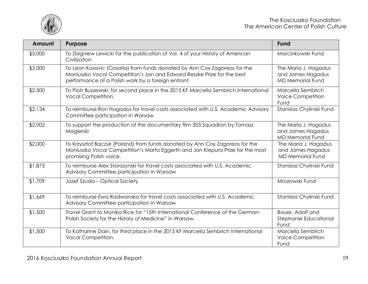

| Amount  | <b>Purpose</b>                                                                                                                                                                                           | <b>Fund</b>                                                          |
|---------|----------------------------------------------------------------------------------------------------------------------------------------------------------------------------------------------------------|----------------------------------------------------------------------|
| \$3,000 | To Zbigniew Lewicki for the publication of Vol. 4 of your History of American<br>Civilization                                                                                                            | Marcinkowski Fund                                                    |
| \$3,000 | To Leon Kosavic (Croatia) from funds donated by Ann Cox Zagoreos for the<br>Moniuszko Vocal Competition's Jan and Edward Reszke Prize for the best<br>performance of a Polish work by a foreign entrant. | The Maria J. Hagadus<br>and James Hagadus<br><b>MD Memorial Fund</b> |
| \$2,500 | To Piotr Buszewski, for second place in the 2015 KF Marcella Sembrich International<br>Vocal Competition.                                                                                                | Marcella Sembrich<br><b>Voice Competition</b><br>Fund                |
| \$2,134 | To reimburse Ron Hagadus for travel costs associated with U.S. Academic Advisory<br>Committee participation in Warsaw                                                                                    | Stanislas Chylinski Fund                                             |
| \$2,002 | To support the production of the documentary film 303 Squadron by Tomasz<br>Magierski                                                                                                                    | The Maria J. Hagadus<br>and James Hagadus<br><b>MD Memorial Fund</b> |
| \$2,000 | To Krzysztof Bgczyk (Poland) from funds donated by Ann Cox Zagoreos for the<br>Moniuszko Vocal Competition's Marta Eggerth and Jan Kiepura Prize for the most<br>promising Polish voice.                 | The Maria J. Hagadus<br>and James Hagadus<br><b>MD Memorial Fund</b> |
| \$1,873 | To reimburse Alex Storozynski for travel costs associated with U.S. Academic<br>Advisory Committee participation in Warsaw                                                                               | Stanislas Chylinski Fund                                             |
| \$1,709 | Jozef Szuda - Optical Society                                                                                                                                                                            | Mrozowski Fund                                                       |
| \$1,669 | To reimburse Ewa Radwanska for travel costs associated with U.S. Academic<br>Advisory Committee participation in Warsaw                                                                                  | Stanislas Chylinski Fund                                             |
| \$1,500 | Travel Grant to Monika Rice for "15th International Conference of the German-<br>Polish Society for the History of Medicine" in Warsaw.                                                                  | Bauer, Adolf and<br>Stephanie Educational<br>Fund                    |
| \$1,500 | To Katharine Dain, for third place in the 2015 KF Marcella Sembrich International<br>Vocal Competition.                                                                                                  | Marcella Sembrich<br><b>Voice Competition</b><br>Fund                |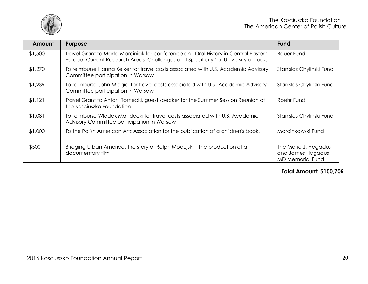

| Amount  | <b>Purpose</b>                                                                                                                                                           | <b>Fund</b>                                                          |
|---------|--------------------------------------------------------------------------------------------------------------------------------------------------------------------------|----------------------------------------------------------------------|
| \$1,500 | Travel Grant to Marta Marciniak for conference on "Oral History in Central-Eastern<br>Europe: Current Research Areas, Challenges and Specificity" at University of Lodz. | <b>Bauer Fund</b>                                                    |
| \$1,270 | To reimburse Hanna Kelker for travel costs associated with U.S. Academic Advisory<br>Committee participation in Warsaw                                                   | Stanislas Chylinski Fund                                             |
| \$1,239 | To reimburse John Micgiel for travel costs associated with U.S. Academic Advisory<br>Committee participation in Warsaw                                                   | Stanislas Chylinski Fund                                             |
| \$1,121 | Travel Grant to Antoni Tomecki, guest speaker for the Summer Session Reunion at<br>the Kosciuszko Foundation                                                             | Roehr Fund                                                           |
| \$1,081 | To reimburse Wlodek Mandecki for travel costs associated with U.S. Academic<br>Advisory Committee participation in Warsaw                                                | Stanislas Chylinski Fund                                             |
| \$1,000 | To the Polish American Arts Association for the publication of a children's book.                                                                                        | Marcinkowski Fund                                                    |
| \$500   | Bridging Urban America, the story of Ralph Modejski – the production of a<br>documentary film                                                                            | The Maria J. Hagadus<br>and James Hagadus<br><b>MD Memorial Fund</b> |

### **Total Amount: \$100,705**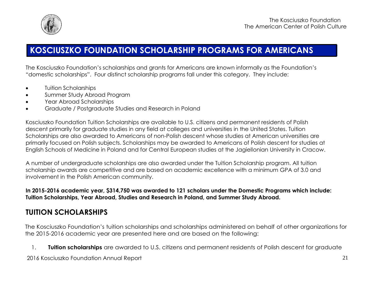

# **KOSCIUSZKO FOUNDATION SCHOLARSHIP PROGRAMS FOR AMERICANS**

The Kosciuszko Foundation's scholarships and grants for Americans are known informally as the Foundation's "domestic scholarships". Four distinct scholarship programs fall under this category. They include:

- Tuition Scholarships
- Summer Study Abroad Program
- Year Abroad Scholarships
- Graduate / Postgraduate Studies and Research in Poland

Kosciuszko Foundation Tuition Scholarships are available to U.S. citizens and permanent residents of Polish descent primarily for graduate studies in any field at colleges and universities in the United States. Tuition Scholarships are also awarded to Americans of non-Polish descent whose studies at American universities are primarily focused on Polish subjects. Scholarships may be awarded to Americans of Polish descent for studies at English Schools of Medicine in Poland and for Central European studies at the Jagiellonian University in Cracow.

A number of undergraduate scholarships are also awarded under the Tuition Scholarship program. All tuition scholarship awards are competitive and are based on academic excellence with a minimum GPA of 3.0 and involvement in the Polish American community.

**In 2015-2016 academic year, \$314,750 was awarded to 121 scholars under the Domestic Programs which include: Tuition Scholarships, Year Abroad, Studies and Research in Poland, and Summer Study Abroad.**

# <span id="page-20-0"></span>**TUITION SCHOLARSHIPS**

The Kosciuszko Foundation's tuition scholarships and scholarships administered on behalf of other organizations for the 2015-2016 academic year are presented here and are based on the following:

1. **Tuition scholarships** are awarded to U.S. citizens and permanent residents of Polish descent for graduate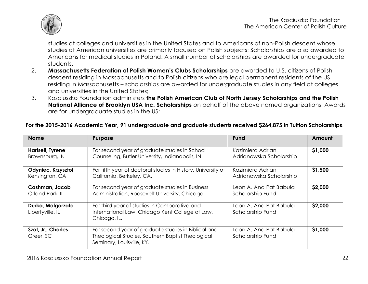

studies at colleges and universities in the United States and to Americans of non-Polish descent whose studies at American universities are primarily focused on Polish subjects; Scholarships are also awarded to Americans for medical studies in Poland. A small number of scholarships are awarded for undergraduate students.

- 2. **Massachusetts Federation of Polish Women's Clubs Scholarships** are awarded to U.S. citizens of Polish descent residing in Massachusetts and to Polish citizens who are legal permanent residents of the US residing in Massachusetts – scholarships are awarded for undergraduate studies in any field at colleges and universities in the United States;
- 3. Kosciuszko Foundation administers **the Polish American Club of North Jersey Scholarships and the Polish National Alliance of Brooklyn USA Inc. Scholarships** on behalf of the above named organizations; Awards are for undergraduate studies in the US;

### **For the 2015-2016 Academic Year, 91 undergraduate and graduate students received \$264,875 in Tuition Scholarships**.

| <b>Name</b>                           | <b>Purpose</b>                                                                                                                        | Fund                                       | Amount  |
|---------------------------------------|---------------------------------------------------------------------------------------------------------------------------------------|--------------------------------------------|---------|
| Hartsell, Tyrene                      | For second year of graduate studies in School                                                                                         | Kazimiera Adrian                           | \$1,000 |
| Brownsburg, IN                        | Counseling, Butler University, Indianapolis, IN.                                                                                      | Adrianowska Scholarship                    |         |
| Odyniec, Krzysztof                    | For fifth year of doctoral studies in History, University of                                                                          | Kazimiera Adrian                           | \$1,500 |
| Kensington, CA                        | California, Berkeley, CA.                                                                                                             | Adrianowska Scholarship                    |         |
| Cashman, Jacob                        | For second year of graduate studies in Business                                                                                       | Leon A. And Pat Babula                     | \$2,000 |
| Orland Park, IL                       | Administration, Roosevelt University, Chicago,                                                                                        | Scholarship Fund                           |         |
| Durka, Malgorzata<br>Libertyville, IL | For third year of studies in Comparative and<br>International Law, Chicago Kent College of Law,<br>Chicago, IL.                       | Leon A. And Pat Babula<br>Scholarship Fund | \$2,000 |
| Szot, Jr., Charles<br>Greer, SC       | For second year of graduate studies in Biblical and<br>Theological Studies, Southern Baptist Theological<br>Seminary, Louisville, KY. | Leon A. And Pat Babula<br>Scholarship Fund | \$1,000 |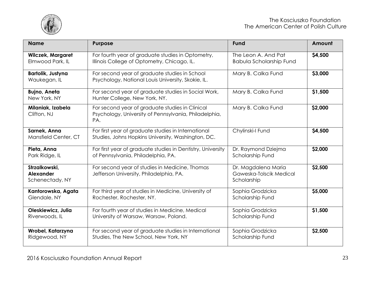

| <b>Name</b>                                          | <b>Purpose</b>                                                                                                  | Fund                                                          | Amount  |
|------------------------------------------------------|-----------------------------------------------------------------------------------------------------------------|---------------------------------------------------------------|---------|
| <b>Wilczek, Margaret</b><br>Elmwood Park, IL         | For fourth year of graduate studies in Optometry,<br>Illinois College of Optometry, Chicago, IL.                | The Leon A. And Pat<br><b>Babula Scholarship Fund</b>         | \$4,500 |
| <b>Bartolik, Justyna</b><br>Waukegan, IL             | For second year of graduate studies in School<br>Psychology, National Louis University, Skokie, IL.             | Mary B. Calka Fund                                            | \$3,000 |
| <b>Bujno, Aneta</b><br>New York, NY                  | For second year of graduate studies in Social Work,<br>Hunter College, New York, NY.                            | Mary B. Calka Fund                                            | \$1,500 |
| Milaniak, Izabela<br>Clifton, NJ                     | For second year of graduate studies in Clinical<br>Psychology, University of Pennsylvania, Philadelphia,<br>PA. | Mary B. Calka Fund                                            | \$2,000 |
| Sarnek, Anna<br>Mansfield Center, CT                 | For first year of graduate studies in International<br>Studies, Johns Hopkins University, Washington, DC.       | Chylinski-I Fund                                              | \$4,500 |
| Pieta, Anna<br>Park Ridge, IL                        | For first year of graduate studies in Dentistry, University<br>of Pennsylvania, Philadelphia, PA.               | Dr. Raymond Dziejma<br>Scholarship Fund                       | \$2,000 |
| Strzalkowski.<br><b>Alexander</b><br>Schenectady, NY | For second year of studies in Medicine, Thomas<br>Jefferson University, Philadelphia, PA.                       | Dr. Magdalena Maria<br>Gaweska-Tolscik Medical<br>Scholarship | \$2,500 |
| Kantorowska, Agata<br>Glendale, NY                   | For third year of studies in Medicine, University of<br>Rochester, Rochester, NY.                               | Sophia Grodzicka<br>Scholarship Fund                          | \$5,000 |
| Oleskiewicz, Julia<br>Riverwoods, IL                 | For fourth year of studies in Medicine, Medical<br>University of Warsaw, Warsaw, Poland.                        | Sophia Grodzicka<br>Scholarship Fund                          | \$1,500 |
| Wrobel, Katarzyna<br>Ridgewood, NY                   | For second year of graduate studies in International<br>Studies, The New School, New York, NY                   | Sophia Grodzicka<br>Scholarship Fund                          | \$2,500 |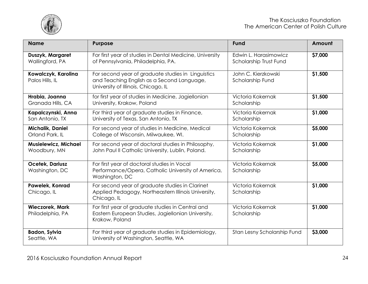

| <b>Name</b>                                 | <b>Purpose</b>                                                                                                                          | <b>Fund</b>                                     | Amount  |
|---------------------------------------------|-----------------------------------------------------------------------------------------------------------------------------------------|-------------------------------------------------|---------|
| Duszyk, Margaret<br>Wallingford, PA         | For first year of studies in Dental Medicine, University<br>of Pennsylvania, Philadelphia, PA.                                          | Edwin L. Harasimowicz<br>Scholarship Trust Fund | \$7,000 |
| Kowalczyk, Karolina<br>Palos Hills, IL      | For second year of graduate studies in Linguistics<br>and Teaching English as a Second Language,<br>University of Illinois, Chicago, IL | John C. Kierzkowski<br>Scholarship Fund         | \$1,500 |
| Hrabia, Joanna<br>Granada Hills, CA         | for first year of studies in Medicine, Jagiellonian<br>University, Krakow, Poland                                                       | Victoria Kokernak<br>Scholarship                | \$1,500 |
| Kapalczynski, Anna<br>San Antonio, TX       | For third year of graduate studies in Finance,<br>University of Texas, San Antonio, TX                                                  | Victoria Kokernak<br>Scholarship                | \$1,000 |
| Michalik, Daniel<br>Orland Park, IL         | For second year of studies in Medicine, Medical<br>College of Wisconsin, Milwaukee, WI.                                                 | Victoria Kokernak<br>Scholarship                | \$5,000 |
| <b>Musielewicz, Michael</b><br>Woodbury, MN | For second year of doctoral studies in Philosophy,<br>John Paul II Catholic University, Lublin, Poland.                                 | Victoria Kokernak<br>Scholarship                | \$1,000 |
| Ocetek, Dariusz<br>Washington, DC           | For first year of doctoral studies in Vocal<br>Performance/Opera, Catholic University of America,<br>Washington, DC                     | Victoria Kokernak<br>Scholarship                | \$5,000 |
| Pawelek, Konrad<br>Chicago, IL              | For second year of graduate studies in Clarinet<br>Applied Pedagogy, Northeastern Illinois University,<br>Chicago, IL                   | Victoria Kokernak<br>Scholarship                | \$1,000 |
| <b>Wieczorek, Mark</b><br>Philadelphia, PA  | For first year of graduate studies in Central and<br>Eastern European Studies, Jagiellonian University,<br>Krakow, Poland               | Victoria Kokernak<br>Scholarship                | \$1,000 |
| <b>Badon, Sylvia</b><br>Seattle, WA         | For third year of graduate studies in Epidemiology,<br>University of Washington, Seattle, WA                                            | Stan Lesny Scholarship Fund                     | \$3,000 |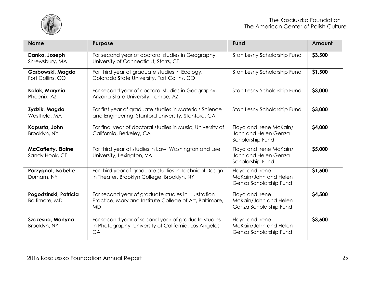

| <b>Name</b>                                 | <b>Purpose</b>                                                                                                              | <b>Fund</b>                                                         | Amount  |
|---------------------------------------------|-----------------------------------------------------------------------------------------------------------------------------|---------------------------------------------------------------------|---------|
| Danko, Joseph<br>Shrewsbury, MA             | For second year of doctoral studies in Geography,<br>University of Connecticut, Storrs, CT.                                 | Stan Lesny Scholarship Fund                                         | \$3,500 |
| Garbowski, Magda<br>Fort Collins, CO        | For third year of graduate studies in Ecology,<br>Colorado State University, Fort Collins, CO                               | Stan Lesny Scholarship Fund                                         | \$1,500 |
| Kolak, Marynia<br>Phoenix, AZ               | For second year of doctoral studies in Geography,<br>Arizona State University, Tempe, AZ                                    | Stan Lesny Scholarship Fund                                         | \$3,000 |
| Zydzik, Magda<br>Westfield, MA              | For first year of graduate studies in Materials Science<br>and Engineering, Stanford University, Stanford, CA               | Stan Lesny Scholarship Fund                                         | \$3,000 |
| Kapusta, John<br>Brooklyn, NY               | For final year of doctoral studies in Music, University of<br>California, Berkeley, CA                                      | Floyd and Irene McKain/<br>John and Helen Genza<br>Scholarship Fund | \$4,000 |
| <b>McCafferty, Elaine</b><br>Sandy Hook, CT | For third year of studies in Law, Washington and Lee<br>University, Lexington, VA                                           | Floyd and Irene McKain/<br>John and Helen Genza<br>Scholarship Fund | \$5,000 |
| Parzygnat, Isabelle<br>Durham, NY           | For third year of graduate studies in Technical Design<br>in Theater, Brooklyn College, Brooklyn, NY                        | Floyd and Irene<br>McKain/John and Helen<br>Genza Scholarship Fund  | \$1,500 |
| Pogodzinski, Patricia<br>Baltimore, MD      | For second year of graduate studies in Illustration<br>Practice, Maryland Institute College of Art, Baltimore,<br><b>MD</b> | Floyd and Irene<br>McKain/John and Helen<br>Genza Scholarship Fund  | \$4,500 |
| Szczesna, Martyna<br>Brooklyn, NY           | For second year of second year of graduate studies<br>in Photography, University of California, Los Angeles,<br>CA          | Floyd and Irene<br>McKain/John and Helen<br>Genza Scholarship Fund  | \$3,500 |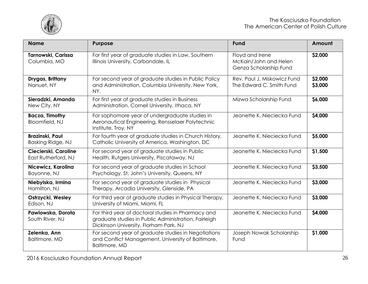

| <b>Name</b>                                 | <b>Purpose</b>                                                                                                                                       | <b>Fund</b>                                                        | Amount             |
|---------------------------------------------|------------------------------------------------------------------------------------------------------------------------------------------------------|--------------------------------------------------------------------|--------------------|
| Tarnowski, Carissa<br>Columbia, MO          | For first year of graduate studies in Law, Southern<br>Illinois University, Carbondale, IL                                                           | Floyd and Irene<br>McKain/John and Helen<br>Genza Scholarship Fund | \$2,000            |
| Drygas, Brittany<br>Nanuet, NY              | For second year of graduate studies in Public Policy<br>and Administration, Columbia University, New York,<br>NY.                                    | Rev. Paul J. Miskowicz Fund<br>The Edward C. Smith Fund            | \$2,000<br>\$3,000 |
| Sieradzki, Amanda<br>New City, NY           | For first year of graduate studies in Business<br>Administration, Cornell University, Ithaca, NY                                                     | Mizwa Scholarship Fund                                             | \$6,000            |
| <b>Bacza, Timothy</b><br>Bloomfield, NJ     | For sophomore year of undergraduate studies in<br>Aeronautical Engineering, Rensselaer Polytechnic<br>Institute, Troy, NY                            | Jeanette K. Nieciecka Fund                                         | \$4,000            |
| <b>Brazinski, Paul</b><br>Basking Ridge, NJ | For fourth year of graduate studies in Church History,<br>Catholic University of America, Washington, DC                                             | Jeanette K. Nieciecka Fund                                         | \$5,000            |
| Ciecierski, Caroline<br>East Rutherford, NJ | For second year of graduate studies in Public<br>Health, Rutgers University, Piscataway, NJ                                                          | Jeanette K. Nieciecka Fund                                         | \$1,500            |
| Nicewicz, Karolina<br>Bayonne, NJ           | For second year of graduate studies in School<br>Psychology, St. John's University, Queens, NY                                                       | Jeanette K. Nieciecka Fund                                         | \$3,500            |
| Niebylska, Irmina<br>Hamilton, NJ           | For second year of graduate studies in Physical<br>Therapy, Arcadia University, Glenside, PA                                                         | Jeanette K. Nieciecka Fund                                         | \$3,000            |
| Ostrzycki, Wesley<br>Edison, NJ             | For third year of graduate studies in Physical Therapy,<br>University of Miami, Miami, FL                                                            | Jeanette K. Nieciecka Fund                                         | \$3,000            |
| Pawlowska, Dorota<br>South River, NJ        | For third year of doctoral studies in Pharmacy and<br>graduate studies in Public Administration, Fairleigh<br>Dickinson University, Florham Park, NJ | Jeanette K. Nieciecka Fund                                         | \$4,000            |
| Zelenka, Ann<br>Baltimore, MD               | For second year of graduate studies in Negotiations<br>and Conflict Management, University of Baltimore,<br><b>Baltimore, MD</b>                     | Joseph Nowak Scholarship<br>Fund                                   | \$1,000            |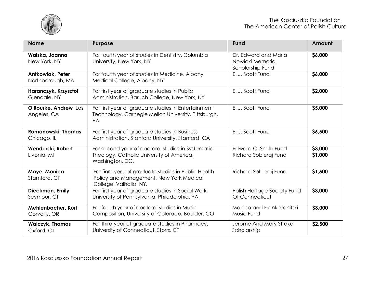

| <b>Name</b>                              | <b>Purpose</b>                                                                                                           | <b>Fund</b>                                                  | Amount             |
|------------------------------------------|--------------------------------------------------------------------------------------------------------------------------|--------------------------------------------------------------|--------------------|
| Walska, Joanna<br>New York, NY           | For fourth year of studies in Dentistry, Columbia<br>University, New York, NY.                                           | Dr. Edward and Maria<br>Nowicki Memorial<br>Scholarship Fund | \$6,000            |
| Antkowiak, Peter<br>Northborough, MA     | For fourth year of studies in Medicine, Albany<br>Medical College, Albany, NY                                            | E. J. Scott Fund                                             | \$6,000            |
| Haranczyk, Krzysztof<br>Glendale, NY     | For first year of graduate studies in Public<br>Administration, Baruch College, New York, NY                             | E. J. Scott Fund                                             | \$2,000            |
| O'Rourke, Andrew Los<br>Angeles, CA      | For first year of graduate studies in Entertainment<br>Technology, Carnegie Mellon University, Pittsburgh,<br><b>PA</b>  | E. J. Scott Fund                                             | \$5,000            |
| <b>Romanowski, Thomas</b><br>Chicago, IL | For first year of graduate studies in Business<br>Administration, Stanford University, Stanford, CA                      | E. J. Scott Fund                                             | \$6,500            |
| Wenderski, Robert<br>Livonia, MI         | For second year of doctoral studies in Systematic<br>Theology, Catholic University of America,<br>Washington, DC.        | Edward C. Smith Fund<br>Richard Sobieraj Fund                | \$3,000<br>\$1,000 |
| Maye, Monica<br>Stamford, CT             | For final year of graduate studies in Public Health<br>Policy and Management, New York Medical<br>College, Valhalla, NY. | Richard Sobieraj Fund                                        | \$1,500            |
| Dieckman, Emily<br>Seymour, CT           | For first year of graduate studies in Social Work,<br>University of Pennsylvania, Philadelphia, PA.                      | Polish Hertage Society Fund<br>Of Connecticut                | \$3,000            |
| Mehlenbacher, Kurt<br>Corvallis, OR      | For fourth year of doctoral studies in Music<br>Composition, University of Colorado, Boulder, CO                         | Monica and Frank Stanitski<br>Music Fund                     | \$3,000            |
| <b>Walczyk, Thomas</b><br>Oxford, CT     | For third year of graduate studies in Pharmacy,<br>University of Connecticut, Storrs, CT                                 | Jerome And Mary Straka<br>Scholarship                        | \$2,500            |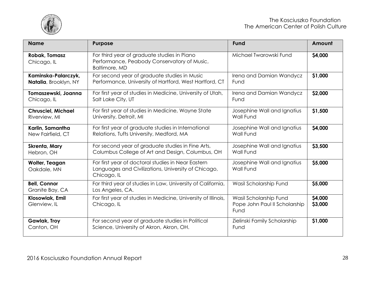

| <b>Name</b>                            | <b>Purpose</b>                                                                                                           | <b>Fund</b>                                                     | Amount             |
|----------------------------------------|--------------------------------------------------------------------------------------------------------------------------|-----------------------------------------------------------------|--------------------|
| <b>Robak, Tomasz</b><br>Chicago, IL    | For third year of graduate studies in Piano<br>Performance, Peabody Conservatory of Music,<br>Baltimore, MD              | Michael Twarowski Fund                                          | \$4,000            |
| Kaminska-Palarczyk,                    | For second year of graduate studies in Music                                                                             | Irena and Damian Wandycz                                        | \$1,000            |
| Natalia, Brooklyn, NY                  | Performance, University of Hartford, West Hartford, CT                                                                   | Fund                                                            |                    |
| Tomaszewski, Joanna                    | For first year of studies in Medicine, University of Utah,                                                               | Irena and Damian Wandycz                                        | \$2,000            |
| Chicago, IL                            | Salt Lake City, UT                                                                                                       | Fund                                                            |                    |
| <b>Chrusciel, Michael</b>              | For first year of studies in Medicine, Wayne State                                                                       | Josephine Wall and Ignatius                                     | \$1,500            |
| Riverview, MI                          | University, Detroit, MI                                                                                                  | <b>Wall Fund</b>                                                |                    |
| Karlin, Samantha                       | For first year of graduate studies in International                                                                      | Josephine Wall and Ignatius                                     | \$4,000            |
| New Fairfield, CT                      | Relations, Tufts University, Medford, MA                                                                                 | <b>Wall Fund</b>                                                |                    |
| Skrenta, Mary                          | For second year of graduate studies in Fine Arts,                                                                        | Josephine Wall and Ignatius                                     | \$3,500            |
| Hebron, OH                             | Columbus College of Art and Design, Columbus, OH                                                                         | <b>Wall Fund</b>                                                |                    |
| Wolter, Teagan<br>Oakdale, MN          | For first year of doctoral studies in Near Eastern<br>Languages and Civilizations, University of Chicago,<br>Chicago, IL | Josephine Wall and Ignatius<br><b>Wall Fund</b>                 | \$5,000            |
| <b>Bell, Connor</b><br>Granite Bay, CA | For third year of studies in Law, University of California,<br>Los Angeles, CA.                                          | Wasil Scholarship Fund                                          | \$5,000            |
| Klosowiak, Emil<br>Glenview, IL        | For first year of studies in Medicine, University of Illinois,<br>Chicago, IL                                            | Wasil Scholarship Fund<br>Pope John Paul II Scholarship<br>Fund | \$4,000<br>\$3,000 |
| <b>Gawlak, Troy</b>                    | For second year of graduate studies in Political                                                                         | Zielinski Family Scholarship                                    | \$1,000            |
| Canton, OH                             | Science, University of Akron, Akron, OH.                                                                                 | Fund                                                            |                    |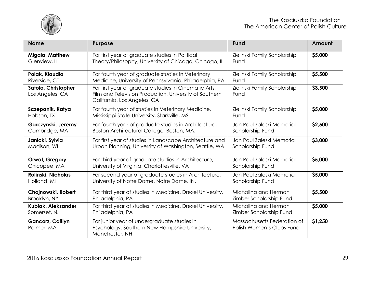

| <b>Name</b>                            | Purpose                                                                                                                                        | <b>Fund</b>                                              | Amount  |
|----------------------------------------|------------------------------------------------------------------------------------------------------------------------------------------------|----------------------------------------------------------|---------|
| Migala, Matthew                        | For first year of graduate studies in Political                                                                                                | Zielinski Family Scholarship                             | \$5,000 |
| Glenview, IL                           | Theory/Philosophy, University of Chicago, Chicago, IL                                                                                          | Fund                                                     |         |
| Polak, Klaudia                         | For fourth year of graduate studies in Veterinary                                                                                              | Zielinski Family Scholarship                             | \$5,500 |
| Riverside, CT                          | Medicine, University of Pennsylvania, Philadelphia, PA                                                                                         | Fund                                                     |         |
| Satola, Christopher<br>Los Angeles, CA | For first year of graduate studies in Cinematic Arts,<br>Film and Television Production, University of Southern<br>California, Los Angeles, CA | Zielinski Family Scholarship<br>Fund                     | \$3,500 |
| Sczepanik, Katya                       | For fourth year of studies in Veterinary Medicine,                                                                                             | Zielinski Family Scholarship                             | \$5,000 |
| Hobson, TX                             | Mississippi State University, Starkville, MS                                                                                                   | Fund                                                     |         |
| Garczynski, Jeremy                     | For fourth year of graduate studies in Architecture,                                                                                           | Jan Paul Zaleski Memorial                                | \$2,500 |
| Cambridge, MA                          | Boston Architectural College, Boston, MA.                                                                                                      | Scholarship Fund                                         |         |
| Janicki, Sylvia                        | For first year of studies in Landscape Architecture and                                                                                        | Jan Paul Zaleski Memorial                                | \$3,000 |
| Madison, WI                            | Urban Planning, University of Washington, Seattle, WA                                                                                          | Scholarship Fund                                         |         |
| <b>Orwat, Gregory</b>                  | For third year of graduate studies in Architecture,                                                                                            | Jan Paul Zaleski Memorial                                | \$5,000 |
| Chicopee, MA                           | University of Virginia, Charlottesville, VA                                                                                                    | Scholarship Fund                                         |         |
| Rolinski, Nicholas                     | For second year of graduate studies in Architecture,                                                                                           | Jan Paul Zaleski Memorial                                | \$5,000 |
| Holland, MI                            | University of Notre Dame, Notre Dame, IN.                                                                                                      | Scholarship Fund                                         |         |
| Chojnowski, Robert                     | For third year of studies in Medicine, Drexel University,                                                                                      | Michaling and Herman                                     | \$5,500 |
| Brooklyn, NY                           | Philadelphia, PA                                                                                                                               | Zimber Scholarship Fund                                  |         |
| Kubiak, Aleksander                     | For third year of studies in Medicine, Drexel University,                                                                                      | Michaling and Herman                                     | \$5,000 |
| Somerset, NJ                           | Philadelphia, PA                                                                                                                               | Zimber Scholarship Fund                                  |         |
| <b>Gancorz, Caitlyn</b><br>Palmer, MA  | For junior year of undergraduate studies in<br>Psychology, Southern New Hampshire University,<br>Manchester, NH                                | Massachusetts Federation of<br>Polish Women's Clubs Fund | \$1,250 |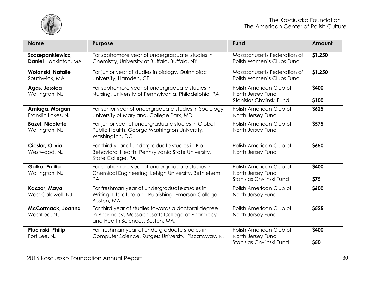

| <b>Name</b>                                     | <b>Purpose</b>                                                                                                                            | <b>Fund</b>                                                              | Amount         |
|-------------------------------------------------|-------------------------------------------------------------------------------------------------------------------------------------------|--------------------------------------------------------------------------|----------------|
| Szczepankiewicz,<br><b>Daniel Hopkinton, MA</b> | For sophomore year of undergraduate studies in<br>Chemistry, University at Buffalo, Buffalo, NY.                                          | Massachusetts Federation of<br>Polish Women's Clubs Fund                 | \$1,250        |
| Wolanski, Natalie<br>Southwick, MA              | For junior year of studies in biology, Quinnipiac<br>University, Hamden, CT                                                               | Massachusetts Federation of<br>Polish Women's Clubs Fund                 | \$1,250        |
| Agas, Jessica<br>Wallington, NJ                 | For sophomore year of undergraduate studies in<br>Nursing, University of Pennsylvania, Philadelphia, PA.                                  | Polish American Club of<br>North Jersey Fund<br>Stanislas Chylinski Fund | \$400<br>\$100 |
| Amiaga, Morgan<br>Franklin Lakes, NJ            | For senior year of undergraduate studies in Sociology,<br>University of Maryland, College Park, MD                                        | Polish American Club of<br>North Jersey Fund                             | \$625          |
| <b>Bazel, Nicolette</b><br>Wallington, NJ       | For junior year of undergraduate studies in Global<br>Public Health, George Washington University,<br>Washington, DC                      | Polish American Club of<br>North Jersey Fund                             | \$575          |
| Cieslar, Olivia<br>Westwood, NJ                 | For third year of undergraduate studies in Bio-<br>Behavioral Health, Pennsylvania State University,<br>State College, PA                 | Polish American Club of<br>North Jersey Fund                             | \$650          |
| Galka, Emilia<br>Wallington, NJ                 | For sophomore year of undergraduate studies in<br>Chemical Engineering, Lehigh University, Bethlehem,<br>PA.                              | Polish American Club of<br>North Jersey Fund<br>Stanislas Chylinski Fund | \$400<br>\$75  |
| Kaczor, Maya<br>West Caldwell, NJ               | For freshman year of undergraduate studies in<br>Writing, Literature and Publishing, Emerson College,<br>Boston, MA.                      | Polish American Club of<br>North Jersey Fund                             | \$600          |
| <b>McCormack, Joanna</b><br>Westifled, NJ       | For third year of studies towards a doctoral degree<br>In Pharmacy, Massachusetts College of Pharmacy<br>and Health Sciences, Boston, MA. | Polish American Club of<br>North Jersey Fund                             | \$525          |
| Plucinski, Philip<br>Fort Lee, NJ               | For freshman year of undergraduate studies in<br>Computer Science, Rutgers University, Piscataway, NJ                                     | Polish American Club of<br>North Jersey Fund<br>Stanislas Chylinski Fund | \$400<br>\$50  |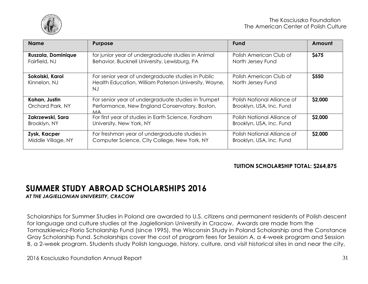

| <b>Name</b>                       | <b>Purpose</b>                                                                                                     | <b>Fund</b>                                             | Amount      |
|-----------------------------------|--------------------------------------------------------------------------------------------------------------------|---------------------------------------------------------|-------------|
| Ruszala, Dominique                | for junior year of undergraduate studies in Animal                                                                 | Polish American Club of                                 | <b>S675</b> |
| Fairfield, NJ                     | Behavior, Bucknell University, Lewisburg, PA                                                                       | North Jersey Fund                                       |             |
| Sokolski, Karol<br>Kinnelon, NJ   | For senior year of undergraduate studies in Public<br>Health Education, William Paterson University, Wayne,<br>N.I | Polish American Club of<br>North Jersey Fund            | \$550       |
| Kohan, Justin<br>Orchard Park, NY | For senior year of undergraduate studies in Trumpet<br>Performance, New England Conservatory, Boston,<br>MA.       | Polish National Alliance of<br>Brooklyn, USA, Inc. Fund | \$2,000     |
| Zakrzewski, Sara                  | For first year of studies in Earth Science, Fordham                                                                | Polish National Alliance of                             | \$2,000     |
| Brooklyn, NY                      | University, New York, NY                                                                                           | Brooklyn, USA, Inc. Fund                                |             |
| Zysk, Kacper                      | For freshman year of undergraduate studies in                                                                      | Polish National Alliance of                             | \$2,000     |
| Middle Village, NY                | Computer Science, City College, New York, NY                                                                       | Brooklyn, USA, Inc. Fund                                |             |

### **TUITION SCHOLARSHIP TOTAL: \$264,875**

# <span id="page-30-0"></span>**SUMMER STUDY ABROAD SCHOLARSHIPS 2016**

*AT THE JAGIELLONIAN UNIVERSITY, CRACOW*

Scholarships for Summer Studies in Poland are awarded to U.S. citizens and permanent residents of Polish descent for language and culture studies at the Jagiellonian University in Cracow. Awards are made from the Tomaszkiewicz-Florio Scholarship Fund (since 1995), the Wisconsin Study in Poland Scholarship and the Constance Gray Scholarship Fund. Scholarships cover the cost of program fees for Session A, a 4-week program and Session B, a 2-week program. Students study Polish language, history, culture, and visit historical sites in and near the city,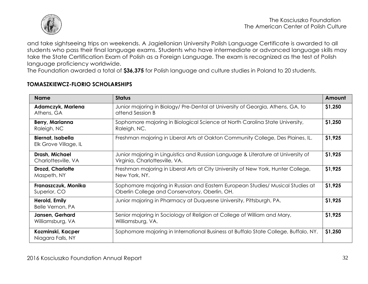

and take sightseeing trips on weekends. A Jagiellonian University Polish Language Certificate is awarded to all students who pass their final language exams. Students who have intermediate or advanced language skills may take the State Certification Exam of Polish as a Foreign Language. The exam is recognized as the test of Polish language proficiency worldwide.

The Foundation awarded a total of **\$36,375** for Polish language and culture studies in Poland to 20 students.

#### **TOMASZKIEWCZ-FLORIO SCHOLARSHIPS**

| <b>Name</b>                                       | <b>Status</b>                                                                                                                    | Amount  |
|---------------------------------------------------|----------------------------------------------------------------------------------------------------------------------------------|---------|
| Adamczyk, Marlena<br>Athens, GA                   | Junior majoring in Biology/ Pre-Dental at University of Georgia, Athens, GA. to<br>attend Session B                              | \$1,250 |
| Berry, Marianna<br>Raleigh, NC                    | Sophomore majoring in Biological Science at North Carolina State University,<br>Raleigh, NC.                                     | \$1,250 |
| <b>Biernat, Isabella</b><br>Elk Grove Village, IL | Freshman majoring in Liberal Arts at Oakton Community College, Des Plaines, IL.                                                  | \$1,925 |
| Drash, Michael<br>Charlottesville, VA             | Junior majoring in Linguistics and Russian Language & Literature at University of<br>Virginia, Charlottesville, VA.              | \$1,925 |
| <b>Drozd, Charlotte</b><br>Maspeth, NY            | Freshman majoring in Liberal Arts at City University of New York, Hunter College,<br>New York, NY.                               | \$1,925 |
| Franaszczuk, Monika<br>Superior, CO               | Sophomore majoring in Russian and Eastern European Studies/ Musical Studies at<br>Oberlin College and Conservatory, Oberlin, OH. | \$1,925 |
| Herold, Emily<br>Belle Vernon, PA                 | Junior majoring in Pharmacy at Duquesne University, Pittsburgh, PA.                                                              | \$1,925 |
| Jansen, Gerhard<br>Williamsburg, VA               | Senior majoring in Sociology of Religion at College of William and Mary,<br>Williamsburg, VA.                                    | \$1,925 |
| Kozminski, Kacper<br>Niagara Falls, NY            | Sophomore majoring in International Business at Buffalo State College, Buffalo, NY.                                              | \$1,250 |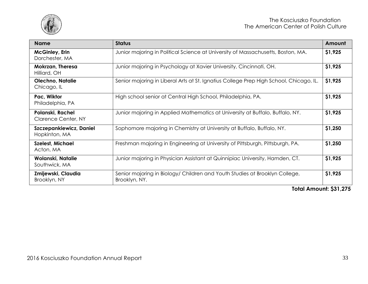

| <b>Name</b>                                     | <b>Status</b>                                                                                | Amount  |
|-------------------------------------------------|----------------------------------------------------------------------------------------------|---------|
| <b>McGinley, Erin</b><br>Dorchester, MA         | Junior majoring in Political Science at University of Massachusetts, Boston, MA.             | \$1,925 |
| Mokrzan, Theresa<br>Hilliard, OH                | Junior majoring in Psychology at Xavier University, Cincinnati, OH.                          | \$1,925 |
| Olechno, Natalie<br>Chicago, IL                 | Senior majoring in Liberal Arts at St. Ignatius College Prep High School, Chicago, IL.       | \$1,925 |
| Pac, Wiktor<br>Philadelphia, PA                 | High school senior at Central High School, Philadelphia, PA.                                 | \$1,925 |
| Polanski, Rachel<br><b>Clarence Center, NY</b>  | Junior majoring in Applied Mathematics at University at Buffalo, Buffalo, NY.                | \$1,925 |
| <b>Szczepankiewicz, Daniel</b><br>Hopkinton, MA | Sophomore majoring in Chemistry at University at Buffalo, Buffalo, NY.                       | \$1,250 |
| <b>Szelest, Michael</b><br>Acton, MA            | Freshman majoring in Engineering at University of Pittsburgh, Pittsburgh, PA.                | \$1,250 |
| Wolanski, Natalie<br>Southwick, MA              | Junior majoring in Physician Assistant at Quinnipiac University, Hamden, CT.                 | \$1,925 |
| Zmijewski, Claudia<br>Brooklyn, NY              | Senior majoring in Biology/ Children and Youth Studies at Brooklyn College,<br>Brooklyn, NY. | \$1,925 |

**Total Amount: \$31,275**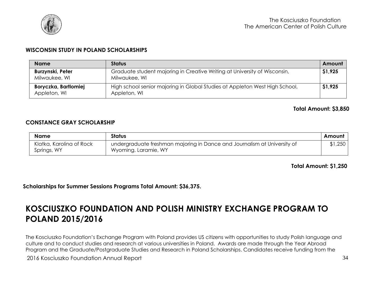

#### **WISCONSIN STUDY IN POLAND SCHOLARSHIPS**

| <b>Name</b>                          | <b>Status</b>                                                                               | Amount  |
|--------------------------------------|---------------------------------------------------------------------------------------------|---------|
| Burzynski, Peter<br>Milwaukee, WI    | Graduate student majoring in Creative Writing at University of Wisconsin,<br>Milwaukee, WI  | \$1,925 |
| Boryczka, Bartlomiej<br>Appleton, WI | High school senior majoring in Global Studies at Appleton West High School,<br>Appleton, WI | \$1,925 |

**Total Amount: \$3,850**

#### **CONSTANCE GRAY SCHOLARSHIP**

| <b>Name</b>                             | <b>Status</b>                                                                                    | Amount  |
|-----------------------------------------|--------------------------------------------------------------------------------------------------|---------|
| Klatka, Karolina of Rock<br>Springs, WY | undergraduate freshman majoring in Dance and Journalism at University of<br>Wyoming, Laramie, WY | \$1,250 |

#### **Total Amount: \$1,250**

**Scholarships for Summer Sessions Programs Total Amount: \$36,375.**

# <span id="page-33-0"></span>**KOSCIUSZKO FOUNDATION AND POLISH MINISTRY EXCHANGE PROGRAM TO POLAND 2015/2016**

The Kosciuszko Foundation's Exchange Program with Poland provides US citizens with opportunities to study Polish language and culture and to conduct studies and research at various universities in Poland. Awards are made through the Year Abroad Program and the Graduate/Postgraduate Studies and Research in Poland Scholarships. Candidates receive funding from the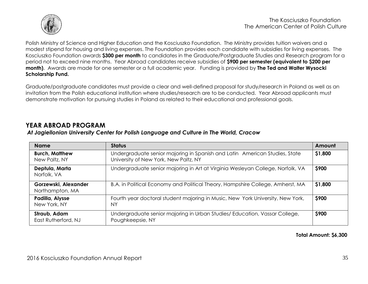

Polish Ministry of Science and Higher Education and the Kosciuszko Foundation. The Ministry provides tuition waivers and a modest stipend for housing and living expenses. The Foundation provides each candidate with subsidies for living expenses. The Kosciuszko Foundation awards **\$300 per month** to candidates in the Graduate/Postgraduate Studies and Research program for a period not to exceed nine months. Year Abroad candidates receive subsidies of **\$900 per semester (equivalent to \$200 per month)**. Awards are made for one semester or a full academic year. Funding is provided by **The Ted and Walter Wysocki Scholarship Fund.** 

Graduate/postgraduate candidates must provide a clear and well-defined proposal for study/research in Poland as well as an invitation from the Polish educational institution where studies/research are to be conducted. Year Abroad applicants must demonstrate motivation for pursuing studies in Poland as related to their educational and professional goals.

### <span id="page-34-0"></span>**YEAR ABROAD PROGRAM**

#### *At Jagiellonian University Center for Polish Language and Culture in The World, Cracow*

<span id="page-34-1"></span>

| <b>Name</b>                             | <b>Status</b>                                                                                                       | Amount      |
|-----------------------------------------|---------------------------------------------------------------------------------------------------------------------|-------------|
| <b>Burch, Matthew</b><br>New Paltz, NY  | Undergraduate senior majoring in Spanish and Latin American Studies, State<br>University of New York, New Paltz, NY | \$1,800     |
| Deptula, Marta<br>Norfolk, VA           | Undergraduate senior majoring in Art at Virginia Wesleyan College, Norfolk, VA                                      | \$900       |
| Gorzewski, Alexander<br>Northampton, MA | B.A. in Political Economy and Political Theory, Hampshire College, Amherst, MA                                      | \$1,800     |
| Padilla, Alysse<br>New York, NY         | Fourth year doctoral student majoring in Music, New York University, New York,<br>NΥ                                | <b>S900</b> |
| Straub, Adam<br>East Rutherford, NJ     | Undergraduate senior majoring in Urban Studies/ Education, Vassar College,<br>Poughkeepsie, NY                      | \$900       |

#### **Total Amount: \$6,300**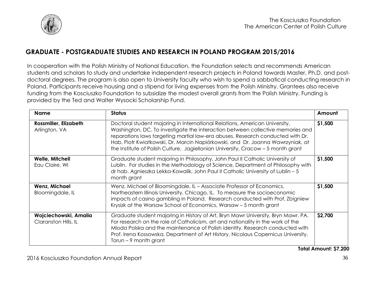

### **GRADUATE - POSTGRADUATE STUDIES AND RESEARCH IN POLAND PROGRAM 2015/2016**

In cooperation with the Polish Ministry of National Education, the Foundation selects and recommends American students and scholars to study and undertake independent research projects in Poland towards Master, Ph.D. and postdoctoral degrees. The program is also open to University faculty who wish to spend a sabbatical conducting research in Poland. Participants receive housing and a stipend for living expenses from the Polish Ministry. Grantees also receive funding from the Kosciuszko Foundation to subsidize the modest overall grants from the Polish Ministry. Funding is provided by the Ted and Walter Wysocki Scholarship Fund.

| <b>Name</b>                                   | <b>Status</b>                                                                                                                                                                                                                                                                                                                                                                                                        | Amount  |
|-----------------------------------------------|----------------------------------------------------------------------------------------------------------------------------------------------------------------------------------------------------------------------------------------------------------------------------------------------------------------------------------------------------------------------------------------------------------------------|---------|
| <b>Rossmiller, Elizabeth</b><br>Arlington, VA | Doctoral student majoring in International Relations, American University,<br>Washington, DC. To investigate the interaction between collective memories and<br>reparations laws targeting martial law-era abuses. Research conducted with Dr.<br>Hab. Piotr Kwiatkowski, Dr. Marcin Napiórkowski, and Dr. Joanna Wawrzyniak, at<br>the Institute of Polish Culture, Jagiellonian University, Cracow - 5 month grant | \$1,500 |
| <b>Welle, Mitchell</b><br>Eau Claire, WI      | Graduate student majoring in Philosophy, John Paul II Catholic University of<br>Lublin. For studies in the Methodology of Science, Department of Philosophy with<br>dr hab. Agnieszka Lekka-Kowalik, John Paul II Catholic University of Lublin - 5<br>month grant                                                                                                                                                   | \$1,500 |
| <b>Wenz, Michael</b><br>Bloomingdale, IL      | Wenz, Michael of Bloomingdale, IL - Associate Professor of Economics,<br>Northeastern Illinois University, Chicago, IL. To measure the socioeconomic<br>impacts of casino gambling in Poland. Research conducted with Prof. Zbigniew<br>Krysizk at the Warsaw School of Economics, Warsaw – 5 month grant                                                                                                            | \$1,500 |
| Wojciechowski, Amalia<br>Claranston Hills, IL | Graduate student majoring in History of Art, Bryn Mawr University, Bryn Mawr, PA.<br>For research on the role of Catholicism, art and nationality in the work of the<br>Mloda Polska and the maintenance of Polish identity. Research conducted with<br>Prof. Irena Kossowska, Department of Art History, Nicolaus Copernicus University,<br>Torun – 9 month grant                                                   | \$2,700 |

**Total Amount: \$7,200**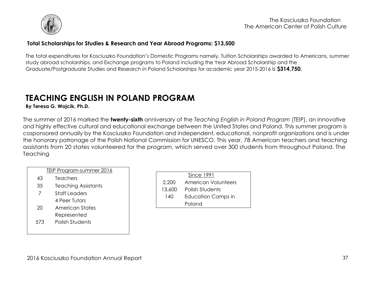

#### **Total Scholarships for Studies & Research and Year Abroad Programs: \$13,500**

The total expenditures for Kosciuszko Foundation's Domestic Programs namely, Tuition Scholarships awarded to Americans, summer study abroad scholarships, and Exchange programs to Poland including the Year Abroad Scholarship and the Graduate/Postgraduate Studies and Research in Poland Scholarships for academic year 2015-2016 is **\$314,750.** 

# <span id="page-36-0"></span>**TEACHING ENGLISH IN POLAND PROGRAM**

**By Teresa G. Wojcik, Ph.D.**

The summer of 2016 marked the **twenty-sixth** anniversary of the *Teaching English in Poland Program* (TEIP), an innovative and highly effective cultural and educational exchange between the United States and Poland. This summer program is cosponsored annually by the Kosciuszko Foundation and independent, educational, nonprofit organizations and is under the honorary patronage of the Polish National Commission for UNESCO. This year, 78 American teachers and teaching assistants from 20 states volunteered for the program, which served over 300 students from throughout Poland. The **Teaching** 

#### TEIP Program-summer 2016

- 43 Teachers
- 35 Teaching Assistants
- 7 Staff Leaders 4 Peer Tutors
- 20 American States Represented
- 573 Polish Students

|        | Since 1991                 |  |
|--------|----------------------------|--|
| 2,200  | <b>American Volunteers</b> |  |
| 13,600 | Polish Students            |  |
| 140    | <b>Education Camps in</b>  |  |
|        | Poland                     |  |
|        |                            |  |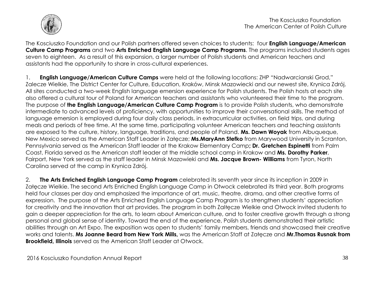

The Kosciuszko Foundation and our Polish partners offered seven choices to students: four **English Language/American Culture Camp Programs** and two **Arts Enriched English Language Camp Programs**. The programs included students ages seven to eighteen. As a result of this expansion, a larger number of Polish students and American teachers and assistants had the opportunity to share in cross-cultural experiences.

1. **English Language/American Culture Camps** were held at the following locations: ZHP "Nadwarcianski Grod," Zalecze Wielkie, The District Center for Culture, Education, Kraków, Minsk Mazowiecki and our newest site, Krynica Zdrój. All sites conducted a two-week English language emersion experience for Polish students. The Polish hosts at each site also offered a cultural tour of Poland for American teachers and assistants who volunteered their time to the program. The purpose of **the English Language/American Culture Camp Program** is to provide Polish students, who demonstrate intermediate to advanced levels of proficiency, with opportunities to improve their conversational skills. The method of language emersion is employed during four daily class periods, in extracurricular activities, on field trips, and during meals and periods of free time. At the same time, participating volunteer American teachers and teaching assistants are exposed to the culture, history, language, traditions, and people of Poland. **Ms. Dawn Woyak** from Albuqueque, New Mexico served as the American Staff Leader in Załęcze; **Ms.MaryAnn Stefko** from Marywood University in Scranton, Pennsylvania served as the American Staff leader at the Krakow Elementary Camp**; Dr. Gretchen Espinetti** from Palm Coast, Florida served as the American staff leader at the middle school camp in Krakow and **Ms. Dorothy Parker**, Fairport, New York served as the staff leader in Minsk Mazowieki and **Ms. Jacque Brown- Williams** from Tyron, North Carolina served at the camp in Krynica Zdrój.

2. **The Arts Enriched English Language Camp Program** celebrated its seventh year since its inception in 2009 in Załęcze Wielkie. The second Arts Enriched English Language Camp in Otwock celebrated its third year. Both programs held four classes per day and emphasized the importance of art, music, theatre, drama, and other creative forms of expression. The purpose of the Arts Enriched English Language Camp Program is to strengthen students' appreciation for creativity and the innovation that art provides. The program in both Zalłęcze Wielkie and Otwock invited students to gain a deeper appreciation for the arts, to learn about American culture, and to foster creative growth through a strong personal and global sense of identity. Toward the end of the experience, Polish students demonstrated their artistic abilities through an Art Expo. The exposition was open to students' family members, friends and showcased their creative works and talents. **Ms Joanne Beard from New York Mills,** was the American Staff at Załęcze and **Mr.Thomas Rusnak from Brookfield, Illinois** served as the American Staff Leader at Otwock.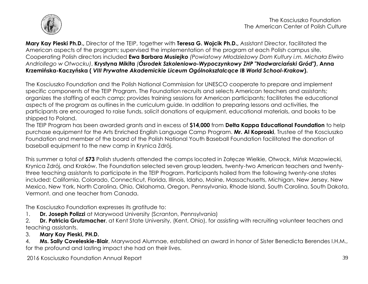

**Mary Kay Pieski Ph.D.,** Director of the TEIP, together with **Teresa G. Wojcik Ph.D.,** Assistant Director, facilitated the American aspects of the program; supervised the implementation of the program at each Polish campus site. Cooperating Polish directors included **Ewa Barbara** *Musiejko (Powiatowy Młodzieżowy Dom Kultury i.m. Michała Elwiro Andriollego w Otwocku)*, **Krystyna Mikita** *(Ósrodek Szkoleniowo-Wypoczynkowy ZHP "Nadwarciański Gród")***, Anna Krzemińska-Kaczyńska (** *VIII Prywatne Akademickie Liceum Ogólnoksztalcące IB World School-Krakow***).**

The Kosciuszko Foundation and the Polish National Commission for UNESCO cooperate to prepare and implement specific components of the TEIP Program. The Foundation recruits and selects American teachers and assistants; organizes the staffing of each camp; provides training sessions for American participants; facilitates the educational aspects of the program as outlines in the curriculum guide. In addition to preparing lessons and activities, the participants are encouraged to raise funds, solicit donations of equipment, educational materials, and books to be shipped to Poland.

The TEIP Program has been awarded grants and in excess of **\$14,000** from **Delta Kappa Educational Foundation** to help purchase equipment for the Arts Enriched English Language Camp Program. **Mr. Al Koproski**, Trustee of the Kosciuszko Foundation and member of the board of the Polish National Youth Baseball Foundation facilitated the donation of baseball equipment to the new camp in Krynica Zdrój.

This summer a total of **573** Polish students attended the camps located in Załęcze Wielkie, Otwock, Mińsk Mazowiecki, Krynica Zdrój, and Kraków. The Foundation selected seven group leaders, twenty-two American teachers and twentythree teaching assistants to participate in the TEIP Program. Participants hailed from the following twenty-one states included: California, Colorado, Connecticut, Florida, Illinois, Idaho, Maine, Massachusetts, Michigan, New Jersey, New Mexico, New York, North Carolina, Ohio, Oklahoma, Oregon, Pennsylvania, Rhode Island, South Carolina, South Dakota, Vermont. and one teacher from Canada.

The Kosciuszko Foundation expresses its gratitude to:

1. **Dr. Joseph Polizzi** at Marywood University (Scranton, Pennsylvania)

2. **Dr. Patricia Grutzmacher**, at Kent State University, (Kent, Ohio), for assisting with recruiting volunteer teachers and teaching assistants.

3. **Mary Kay Pieski, PH.D.**

4. **Ms. Sally Coveleskie-Blair**, Marywood Alumnae, established an award in honor of Sister Benedicta Berendes I.H.M., for the profound and lasting impact she had on their lives.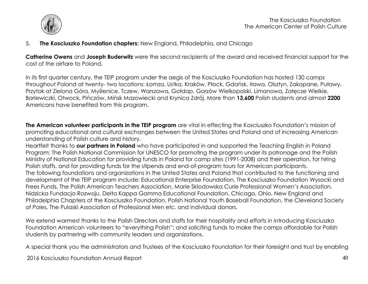

5. **The Kosciuszko Foundation chapters:** New England, Philadelphia, and Chicago

**Catherine Owens** and **Joseph Buderwitz** were the second recipients of the award and received financial support for the cost of the airfare to Poland.

In its first quarter century, the TEIP program under the aegis of the Kosciuszko Foundation has hosted 130 camps throughout Poland at twenty- two locations: Łomza, Ustka, Kraków, Płock, Gdańsk, Iława, Olsztyn, Zakopane, Puławy, Przytok at Zielona Góra, Myślenice, Tczew, Warszawa, Gołdap, Gorzów Wielkopolski, Limanowa, Załęcze Wielkie, Barlewiczki, Otwock, Pińczów, Mińsk Mazowiecki and Krynica Zdrój. More than **13,600** Polish students and almost **2200**  Americans have benefited from this program.

**The American volunteer participants in the TEIP program** are vital in effecting the Kosciuszko Foundation's mission of promoting educational and cultural exchanges between the United States and Poland and of increasing American understanding of Polish culture and history.

Heartfelt thanks to **our partners in Poland** who have participated in and supported the Teaching English in Poland Program: The Polish National Commission for UNESCO for promoting the program under its patronage and the Polish Ministry of National Education for providing funds in Poland for camp sites (1991-2008) and their operation, for hiring Polish staffs, and for providing funds for the stipends and end-of-program tours for American participants. The following foundations and organizations in the United States and Poland that contributed to the functioning and development of the TEIP program include: Educational Enterprise Foundation, The Kosciuszko Foundation Wysocki and Frees Funds, The Polish American Teachers Association, Marie Sklodowska Curie Professional Women's Association, Nidzicka Fundacja Rozwoju, Delta Kappa Gamma Educational Foundation, Chicago, Ohio, New England and Philadelphia Chapters of the Kosciuszko Foundation, Polish National Youth Baseball Foundation, the Cleveland Society of Poles, The Pulaski Association of Professional Men etc. and individual donors.

We extend warmest thanks to the Polish Directors and staffs for their hospitality and efforts in introducing Kosciuszko Foundation American volunteers to "everything Polish"; and soliciting funds to make the camps affordable for Polish students by partnering with community leaders and organizations.

A special thank you the administrators and Trustees of the Kosciuszko Foundation for their foresight and trust by enabling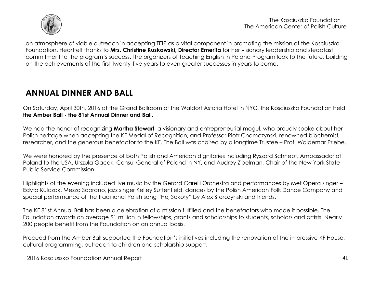

an atmosphere of viable outreach in accepting TEIP as a vital component in promoting the mission of the Kosciuszko Foundation. Heartfelt thanks to **Mrs. Christine Kuskowski, Director Emerita** for her visionary leadership and steadfast commitment to the program's success. The organizers of Teaching English in Poland Program look to the future, building on the achievements of the first twenty-five years to even greater successes in years to come.

# <span id="page-40-0"></span>**ANNUAL DINNER AND BALL**

On Saturday, April 30th, 2016 at the Grand Ballroom of the Waldorf Astoria Hotel in NYC, the Kosciuszko Foundation held **the Amber Ball - the 81st Annual Dinner and Ball**.

We had the honor of recognizing **Martha Stewart**, a visionary and entrepreneurial mogul, who proudly spoke about her Polish heritage when accepting the KF Medal of Recognition, and Professor Piotr Chomczynski, renowned biochemist, researcher, and the generous benefactor to the KF. The Ball was chaired by a longtime Trustee – Prof. Waldemar Priebe.

We were honored by the presence of both Polish and American dignitaries including Ryszard Schnepf, Ambassador of Poland to the USA, Urszula Gacek, Consul General of Poland in NY, and Audrey Zibelman, Chair of the New York State Public Service Commission.

Highlights of the evening included live music by the Gerard Carelli Orchestra and performances by Met Opera singer – Edyta Kulczak, Mezzo Soprano, jazz singer Kelley Suttenfield, dances by the Polish American Folk Dance Company and special performance of the traditional Polish song "Hej Sokoły" by Alex Storozynski and friends.

The KF 81st Annual Ball has been a celebration of a mission fulfilled and the benefactors who made it possible. The Foundation awards on average \$1 million in fellowships, grants and scholarships to students, scholars and artists. Nearly 200 people benefit from the Foundation on an annual basis.

Proceed from the Amber Ball supported the Foundation's initiatives including the renovation of the impressive KF House, cultural programming, outreach to children and scholarship support.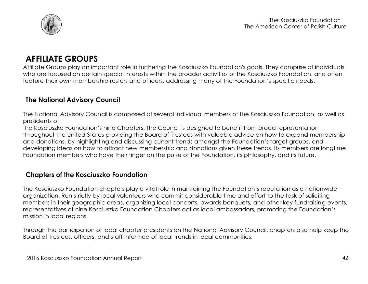

# <span id="page-41-0"></span>**AFFILIATE GROUPS**

Affiliate Groups play an important role in furthering the Kosciuszko Foundation's goals. They comprise of individuals who are focused on certain special interests within the broader activities of the Kosciuszko Foundation, and often feature their own membership rosters and officers, addressing many of the Foundation's specific needs.

### <span id="page-41-1"></span>**The National Advisory Council**

The National Advisory Council is composed of several individual members of the Kosciuszko Foundation, as well as presidents of

the Kosciuszko Foundation's nine Chapters. The Council is designed to benefit from broad representation throughout the United States providing the Board of Trustees with valuable advice on how to expand membership and donations, by highlighting and discussing current trends amongst the Foundation's target groups, and developing ideas on how to attract new membership and donations given these trends. Its members are longtime Foundation members who have their finger on the pulse of the Foundation, its philosophy, and its future.

### <span id="page-41-2"></span>**Chapters of the Kosciuszko Foundation**

The Kosciuszko Foundation chapters play a vital role in maintaining the Foundation's reputation as a nationwide organization. Run strictly by local volunteers who commit considerable time and effort to the task of soliciting members in their geographic areas, organizing local concerts, awards banquets, and other key fundraising events, representatives of nine Kosciuszko Foundation Chapters act as local ambassadors, promoting the Foundation's mission in local regions.

Through the participation of local chapter presidents on the National Advisory Council, chapters also help keep the Board of Trustees, officers, and staff informed of local trends in local communities.